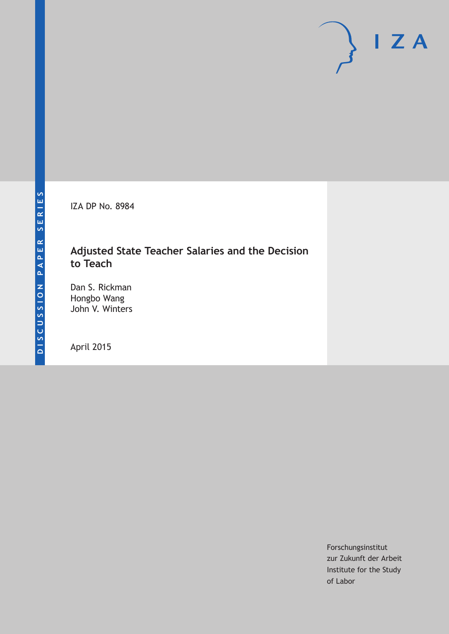IZA DP No. 8984

# **Adjusted State Teacher Salaries and the Decision to Teach**

Dan S. Rickman Hongbo Wang John V. Winters

April 2015

Forschungsinstitut zur Zukunft der Arbeit Institute for the Study of Labor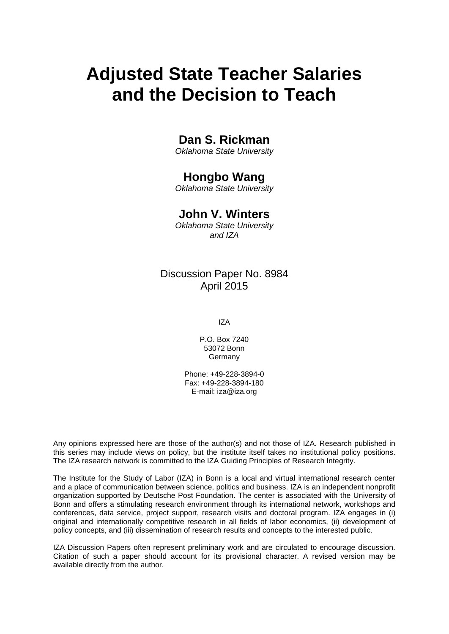# **Adjusted State Teacher Salaries and the Decision to Teach**

# **Dan S. Rickman**

*Oklahoma State University*

# **Hongbo Wang**

*Oklahoma State University*

# **John V. Winters**

*Oklahoma State University and IZA*

# Discussion Paper No. 8984 April 2015

IZA

P.O. Box 7240 53072 Bonn Germany

Phone: +49-228-3894-0 Fax: +49-228-3894-180 E-mail: iza@iza.org

Any opinions expressed here are those of the author(s) and not those of IZA. Research published in this series may include views on policy, but the institute itself takes no institutional policy positions. The IZA research network is committed to the IZA Guiding Principles of Research Integrity.

The Institute for the Study of Labor (IZA) in Bonn is a local and virtual international research center and a place of communication between science, politics and business. IZA is an independent nonprofit organization supported by Deutsche Post Foundation. The center is associated with the University of Bonn and offers a stimulating research environment through its international network, workshops and conferences, data service, project support, research visits and doctoral program. IZA engages in (i) original and internationally competitive research in all fields of labor economics, (ii) development of policy concepts, and (iii) dissemination of research results and concepts to the interested public.

IZA Discussion Papers often represent preliminary work and are circulated to encourage discussion. Citation of such a paper should account for its provisional character. A revised version may be available directly from the author.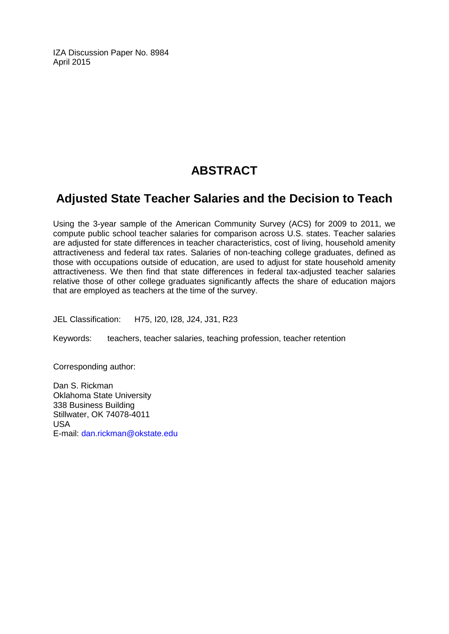IZA Discussion Paper No. 8984 April 2015

# **ABSTRACT**

# **Adjusted State Teacher Salaries and the Decision to Teach**

Using the 3-year sample of the American Community Survey (ACS) for 2009 to 2011, we compute public school teacher salaries for comparison across U.S. states. Teacher salaries are adjusted for state differences in teacher characteristics, cost of living, household amenity attractiveness and federal tax rates. Salaries of non-teaching college graduates, defined as those with occupations outside of education, are used to adjust for state household amenity attractiveness. We then find that state differences in federal tax-adjusted teacher salaries relative those of other college graduates significantly affects the share of education majors that are employed as teachers at the time of the survey.

JEL Classification: H75, I20, I28, J24, J31, R23

Keywords: teachers, teacher salaries, teaching profession, teacher retention

Corresponding author:

Dan S. Rickman Oklahoma State University 338 Business Building Stillwater, OK 74078-4011 USA E-mail: [dan.rickman@okstate.edu](mailto:dan.rickman@okstate.edu)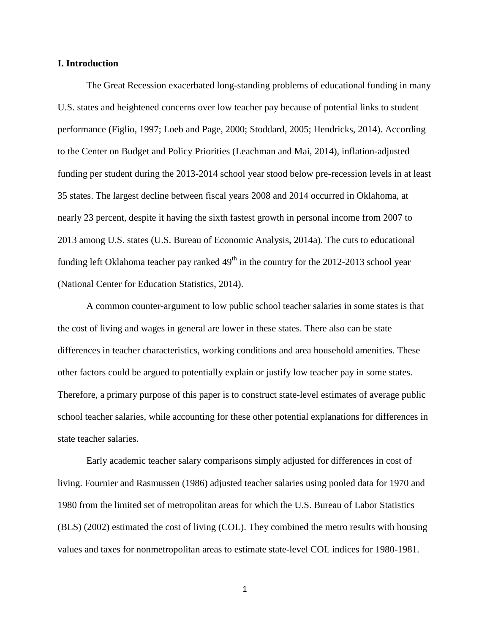### **I. Introduction**

The Great Recession exacerbated long-standing problems of educational funding in many U.S. states and heightened concerns over low teacher pay because of potential links to student performance (Figlio, 1997; Loeb and Page, 2000; Stoddard, 2005; Hendricks, 2014). According to the Center on Budget and Policy Priorities (Leachman and Mai, 2014), inflation-adjusted funding per student during the 2013-2014 school year stood below pre-recession levels in at least 35 states. The largest decline between fiscal years 2008 and 2014 occurred in Oklahoma, at nearly 23 percent, despite it having the sixth fastest growth in personal income from 2007 to 2013 among U.S. states (U.S. Bureau of Economic Analysis, 2014a). The cuts to educational funding left Oklahoma teacher pay ranked  $49<sup>th</sup>$  in the country for the 2012-2013 school year (National Center for Education Statistics, 2014).

A common counter-argument to low public school teacher salaries in some states is that the cost of living and wages in general are lower in these states. There also can be state differences in teacher characteristics, working conditions and area household amenities. These other factors could be argued to potentially explain or justify low teacher pay in some states. Therefore, a primary purpose of this paper is to construct state-level estimates of average public school teacher salaries, while accounting for these other potential explanations for differences in state teacher salaries.

Early academic teacher salary comparisons simply adjusted for differences in cost of living. Fournier and Rasmussen (1986) adjusted teacher salaries using pooled data for 1970 and 1980 from the limited set of metropolitan areas for which the U.S. Bureau of Labor Statistics (BLS) (2002) estimated the cost of living (COL). They combined the metro results with housing values and taxes for nonmetropolitan areas to estimate state-level COL indices for 1980-1981.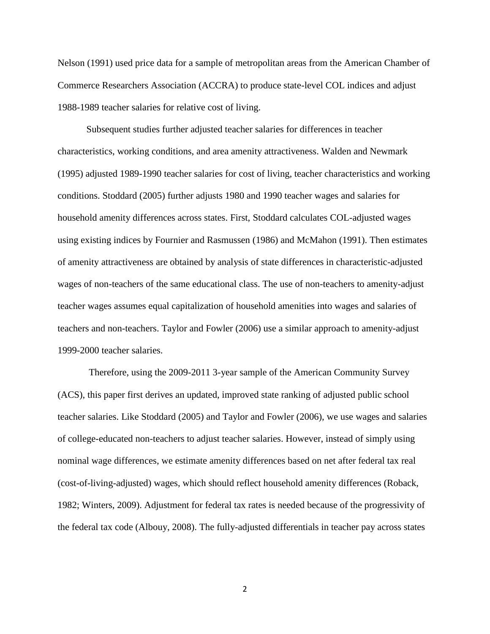Nelson (1991) used price data for a sample of metropolitan areas from the American Chamber of Commerce Researchers Association (ACCRA) to produce state-level COL indices and adjust 1988-1989 teacher salaries for relative cost of living.

Subsequent studies further adjusted teacher salaries for differences in teacher characteristics, working conditions, and area amenity attractiveness. Walden and Newmark (1995) adjusted 1989-1990 teacher salaries for cost of living, teacher characteristics and working conditions. Stoddard (2005) further adjusts 1980 and 1990 teacher wages and salaries for household amenity differences across states. First, Stoddard calculates COL-adjusted wages using existing indices by Fournier and Rasmussen (1986) and McMahon (1991). Then estimates of amenity attractiveness are obtained by analysis of state differences in characteristic-adjusted wages of non-teachers of the same educational class. The use of non-teachers to amenity-adjust teacher wages assumes equal capitalization of household amenities into wages and salaries of teachers and non-teachers. Taylor and Fowler (2006) use a similar approach to amenity-adjust 1999-2000 teacher salaries.

Therefore, using the 2009-2011 3-year sample of the American Community Survey (ACS), this paper first derives an updated, improved state ranking of adjusted public school teacher salaries. Like Stoddard (2005) and Taylor and Fowler (2006), we use wages and salaries of college-educated non-teachers to adjust teacher salaries. However, instead of simply using nominal wage differences, we estimate amenity differences based on net after federal tax real (cost-of-living-adjusted) wages, which should reflect household amenity differences (Roback, 1982; Winters, 2009). Adjustment for federal tax rates is needed because of the progressivity of the federal tax code (Albouy, 2008). The fully-adjusted differentials in teacher pay across states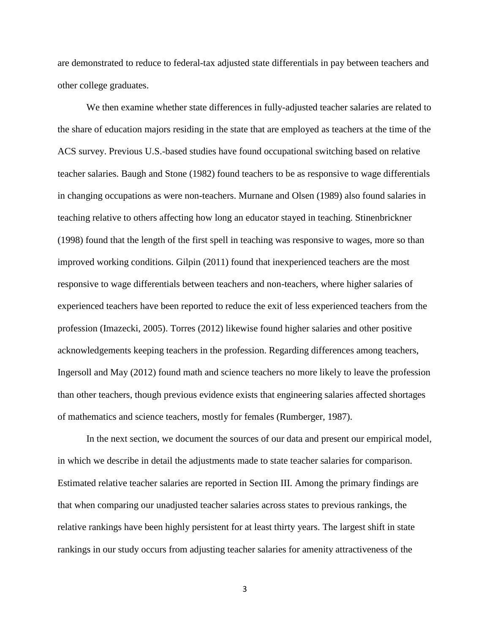are demonstrated to reduce to federal-tax adjusted state differentials in pay between teachers and other college graduates.

We then examine whether state differences in fully-adjusted teacher salaries are related to the share of education majors residing in the state that are employed as teachers at the time of the ACS survey. Previous U.S.-based studies have found occupational switching based on relative teacher salaries. Baugh and Stone (1982) found teachers to be as responsive to wage differentials in changing occupations as were non-teachers. Murnane and Olsen (1989) also found salaries in teaching relative to others affecting how long an educator stayed in teaching. Stinenbrickner (1998) found that the length of the first spell in teaching was responsive to wages, more so than improved working conditions. Gilpin (2011) found that inexperienced teachers are the most responsive to wage differentials between teachers and non-teachers, where higher salaries of experienced teachers have been reported to reduce the exit of less experienced teachers from the profession (Imazecki, 2005). Torres (2012) likewise found higher salaries and other positive acknowledgements keeping teachers in the profession. Regarding differences among teachers, Ingersoll and May (2012) found math and science teachers no more likely to leave the profession than other teachers, though previous evidence exists that engineering salaries affected shortages of mathematics and science teachers, mostly for females (Rumberger, 1987).

In the next section, we document the sources of our data and present our empirical model, in which we describe in detail the adjustments made to state teacher salaries for comparison. Estimated relative teacher salaries are reported in Section III. Among the primary findings are that when comparing our unadjusted teacher salaries across states to previous rankings, the relative rankings have been highly persistent for at least thirty years. The largest shift in state rankings in our study occurs from adjusting teacher salaries for amenity attractiveness of the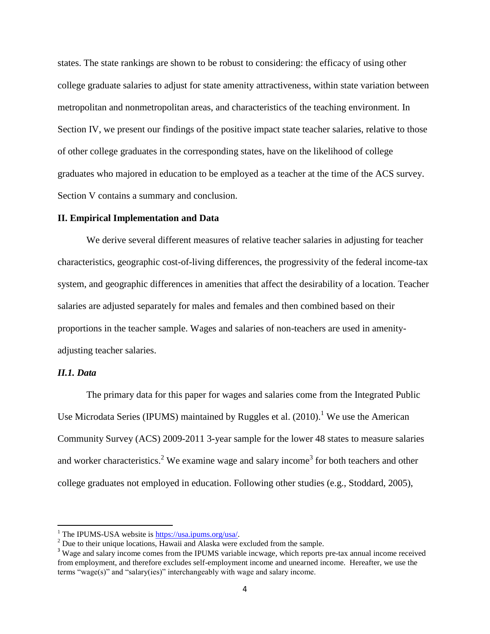states. The state rankings are shown to be robust to considering: the efficacy of using other college graduate salaries to adjust for state amenity attractiveness, within state variation between metropolitan and nonmetropolitan areas, and characteristics of the teaching environment. In Section IV, we present our findings of the positive impact state teacher salaries, relative to those of other college graduates in the corresponding states, have on the likelihood of college graduates who majored in education to be employed as a teacher at the time of the ACS survey. Section V contains a summary and conclusion.

### **II. Empirical Implementation and Data**

We derive several different measures of relative teacher salaries in adjusting for teacher characteristics, geographic cost-of-living differences, the progressivity of the federal income-tax system, and geographic differences in amenities that affect the desirability of a location. Teacher salaries are adjusted separately for males and females and then combined based on their proportions in the teacher sample. Wages and salaries of non-teachers are used in amenityadjusting teacher salaries.

### *II.1. Data*

 $\overline{a}$ 

The primary data for this paper for wages and salaries come from the Integrated Public Use Microdata Series (IPUMS) maintained by Ruggles et al.  $(2010)$ .<sup>1</sup> We use the American Community Survey (ACS) 2009-2011 3-year sample for the lower 48 states to measure salaries and worker characteristics.<sup>2</sup> We examine wage and salary income<sup>3</sup> for both teachers and other college graduates not employed in education. Following other studies (e.g., Stoddard, 2005),

<sup>&</sup>lt;sup>1</sup> The IPUMS-USA website is  $\frac{https://usa.ipums.org/usa/}{https://usa.ipums.org/usa/}.$ 

 $2^{2}$  Due to their unique locations, Hawaii and Alaska were excluded from the sample.

<sup>&</sup>lt;sup>3</sup> Wage and salary income comes from the IPUMS variable incwage, which reports pre-tax annual income received from employment, and therefore excludes self-employment income and unearned income. Hereafter, we use the terms "wage(s)" and "salary(ies)" interchangeably with wage and salary income.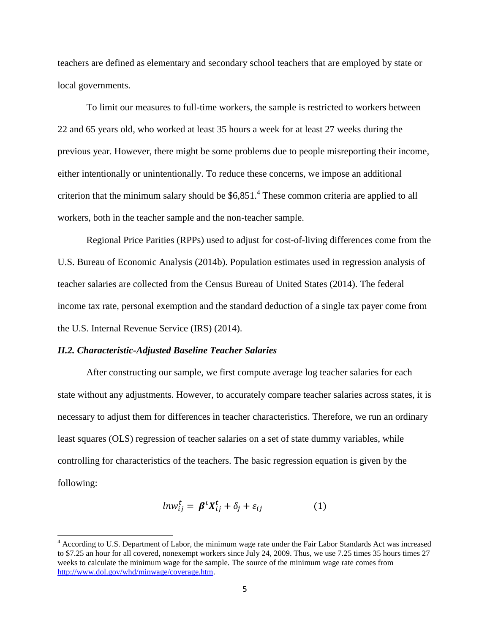teachers are defined as elementary and secondary school teachers that are employed by state or local governments.

To limit our measures to full-time workers, the sample is restricted to workers between 22 and 65 years old, who worked at least 35 hours a week for at least 27 weeks during the previous year. However, there might be some problems due to people misreporting their income, either intentionally or unintentionally. To reduce these concerns, we impose an additional criterion that the minimum salary should be  $$6,851.<sup>4</sup>$  These common criteria are applied to all workers, both in the teacher sample and the non-teacher sample.

Regional Price Parities (RPPs) used to adjust for cost-of-living differences come from the U.S. Bureau of Economic Analysis (2014b). Population estimates used in regression analysis of teacher salaries are collected from the Census Bureau of United States (2014). The federal income tax rate, personal exemption and the standard deduction of a single tax payer come from the U.S. Internal Revenue Service (IRS) (2014).

### *II.2. Characteristic-Adjusted Baseline Teacher Salaries*

 $\overline{\phantom{a}}$ 

After constructing our sample, we first compute average log teacher salaries for each state without any adjustments. However, to accurately compare teacher salaries across states, it is necessary to adjust them for differences in teacher characteristics. Therefore, we run an ordinary least squares (OLS) regression of teacher salaries on a set of state dummy variables, while controlling for characteristics of the teachers. The basic regression equation is given by the following:

$$
ln w_{ij}^t = \beta^t X_{ij}^t + \delta_j + \varepsilon_{ij}
$$
 (1)

<sup>4</sup> According to U.S. Department of Labor, the minimum wage rate under the Fair Labor Standards Act was increased to \$7.25 an hour for all covered, nonexempt workers since July 24, 2009. Thus, we use 7.25 times 35 hours times 27 weeks to calculate the minimum wage for the sample. The source of the minimum wage rate comes from [http://www.dol.gov/whd/minwage/coverage.htm.](http://www.dol.gov/whd/minwage/coverage.htm)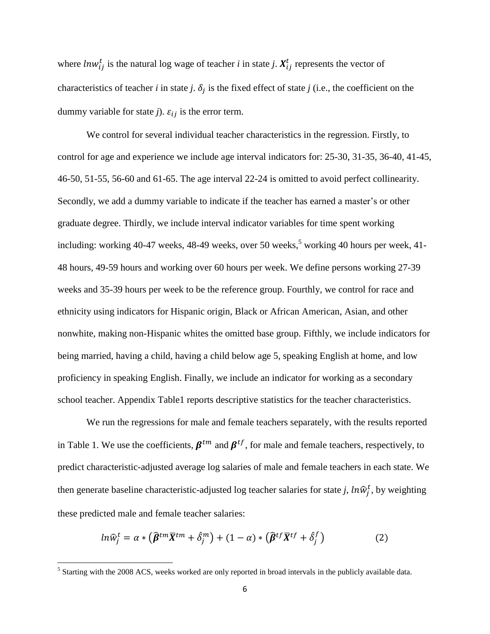where  $ln w_{ij}^t$  is the natural log wage of teacher *i* in state *j*.  $X_{ij}^t$  represents the vector of characteristics of teacher *i* in state *j*.  $\delta_j$  is the fixed effect of state *j* (i.e., the coefficient on the dummy variable for state *j*).  $\varepsilon_{ij}$  is the error term.

We control for several individual teacher characteristics in the regression. Firstly, to control for age and experience we include age interval indicators for: 25-30, 31-35, 36-40, 41-45, 46-50, 51-55, 56-60 and 61-65. The age interval 22-24 is omitted to avoid perfect collinearity. Secondly, we add a dummy variable to indicate if the teacher has earned a master's or other graduate degree. Thirdly, we include interval indicator variables for time spent working including: working 40-47 weeks, 48-49 weeks, over 50 weeks, $5 \text{ working } 40 \text{ hours per week}, 41$ -48 hours, 49-59 hours and working over 60 hours per week. We define persons working 27-39 weeks and 35-39 hours per week to be the reference group. Fourthly, we control for race and ethnicity using indicators for Hispanic origin, Black or African American, Asian, and other nonwhite, making non-Hispanic whites the omitted base group. Fifthly, we include indicators for being married, having a child, having a child below age 5, speaking English at home, and low proficiency in speaking English. Finally, we include an indicator for working as a secondary school teacher. Appendix Table1 reports descriptive statistics for the teacher characteristics.

We run the regressions for male and female teachers separately, with the results reported in Table 1. We use the coefficients,  $\beta^{tm}$  and  $\beta^{tf}$ , for male and female teachers, respectively, to predict characteristic-adjusted average log salaries of male and female teachers in each state. We then generate baseline characteristic-adjusted log teacher salaries for state *j*,  $ln \hat{w}_j^t$ , by weighting these predicted male and female teacher salaries:

$$
ln\widehat{w}_j^t = \alpha * (\widehat{\boldsymbol{\beta}}^{tm}\overline{X}^{tm} + \widehat{\delta}_j^m) + (1 - \alpha) * (\widehat{\boldsymbol{\beta}}^{tf}\overline{X}^{tf} + \widehat{\delta}_j^f)
$$
(2)

<sup>&</sup>lt;sup>5</sup> Starting with the 2008 ACS, weeks worked are only reported in broad intervals in the publicly available data.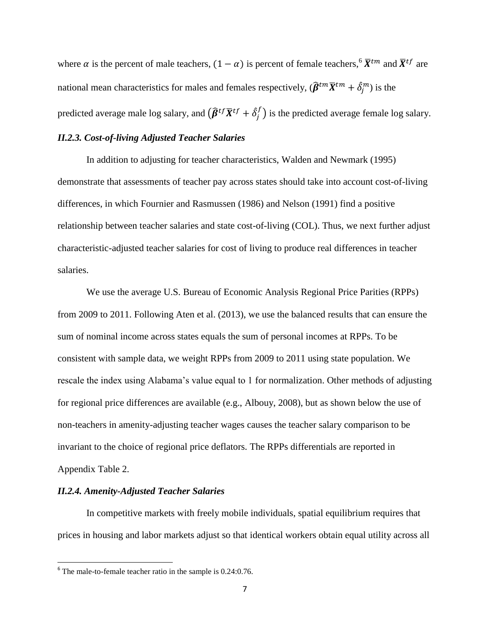where  $\alpha$  is the percent of male teachers,  $(1 - \alpha)$  is percent of female teachers,<sup>6</sup>  $\bar{X}^{tm}$  and  $\bar{X}^{tf}$  are national mean characteristics for males and females respectively,  $(\widehat{\beta}^{tm}\overline{X}^{tm} + \hat{\delta}_j^m)$  is the predicted average male log salary, and  $\big(\widehat{\boldsymbol{\beta}}^{tf}\overline{\boldsymbol{X}}^{tf}+\hat{\delta}_j^t\big)$  $\binom{f}{i}$  is the predicted average female log salary.

## *II.2.3. Cost-of-living Adjusted Teacher Salaries*

In addition to adjusting for teacher characteristics, Walden and Newmark (1995) demonstrate that assessments of teacher pay across states should take into account cost-of-living differences, in which Fournier and Rasmussen (1986) and Nelson (1991) find a positive relationship between teacher salaries and state cost-of-living (COL). Thus, we next further adjust characteristic-adjusted teacher salaries for cost of living to produce real differences in teacher salaries.

We use the average U.S. Bureau of Economic Analysis Regional Price Parities (RPPs) from 2009 to 2011. Following Aten et al. (2013), we use the balanced results that can ensure the sum of nominal income across states equals the sum of personal incomes at RPPs. To be consistent with sample data, we weight RPPs from 2009 to 2011 using state population. We rescale the index using Alabama's value equal to 1 for normalization. Other methods of adjusting for regional price differences are available (e.g., Albouy, 2008), but as shown below the use of non-teachers in amenity-adjusting teacher wages causes the teacher salary comparison to be invariant to the choice of regional price deflators. The RPPs differentials are reported in Appendix Table 2.

### *II.2.4. Amenity-Adjusted Teacher Salaries*

 $\overline{\phantom{a}}$ 

In competitive markets with freely mobile individuals, spatial equilibrium requires that prices in housing and labor markets adjust so that identical workers obtain equal utility across all

 $6$  The male-to-female teacher ratio in the sample is 0.24:0.76.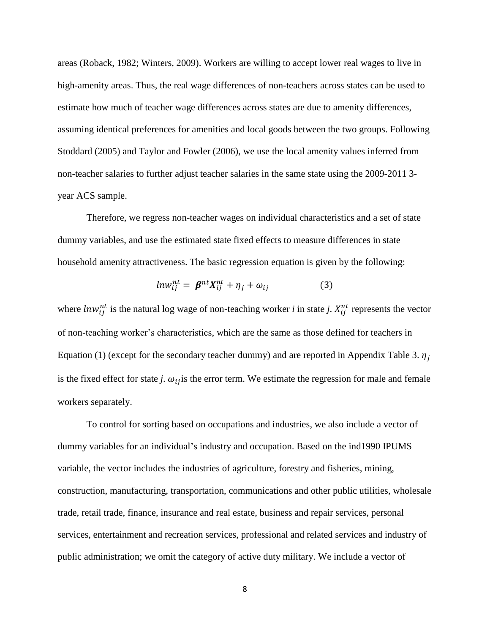areas (Roback, 1982; Winters, 2009). Workers are willing to accept lower real wages to live in high-amenity areas. Thus, the real wage differences of non-teachers across states can be used to estimate how much of teacher wage differences across states are due to amenity differences, assuming identical preferences for amenities and local goods between the two groups. Following Stoddard (2005) and Taylor and Fowler (2006), we use the local amenity values inferred from non-teacher salaries to further adjust teacher salaries in the same state using the 2009-2011 3 year ACS sample.

Therefore, we regress non-teacher wages on individual characteristics and a set of state dummy variables, and use the estimated state fixed effects to measure differences in state household amenity attractiveness. The basic regression equation is given by the following:

$$
ln w_{ij}^{nt} = \beta^{nt} X_{ij}^{nt} + \eta_j + \omega_{ij}
$$
 (3)

where  $\text{law}_{ij}^{nt}$  is the natural log wage of non-teaching worker *i* in state *j*.  $X_{ij}^{nt}$  represents the vector of non-teaching worker's characteristics, which are the same as those defined for teachers in Equation (1) (except for the secondary teacher dummy) and are reported in Appendix Table 3.  $\eta_i$ is the fixed effect for state *j*.  $\omega_{ij}$  is the error term. We estimate the regression for male and female workers separately.

To control for sorting based on occupations and industries, we also include a vector of dummy variables for an individual's industry and occupation. Based on the ind1990 IPUMS variable, the vector includes the industries of agriculture, forestry and fisheries, mining, construction, manufacturing, transportation, communications and other public utilities, wholesale trade, retail trade, finance, insurance and real estate, business and repair services, personal services, entertainment and recreation services, professional and related services and industry of public administration; we omit the category of active duty military. We include a vector of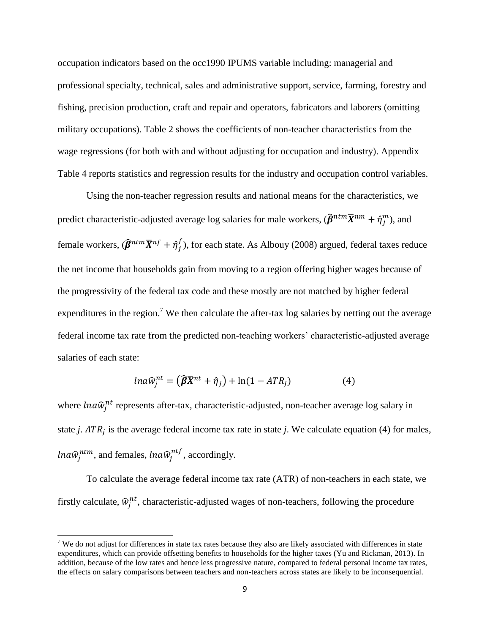occupation indicators based on the occ1990 IPUMS variable including: managerial and professional specialty, technical, sales and administrative support, service, farming, forestry and fishing, precision production, craft and repair and operators, fabricators and laborers (omitting military occupations). Table 2 shows the coefficients of non-teacher characteristics from the wage regressions (for both with and without adjusting for occupation and industry). Appendix Table 4 reports statistics and regression results for the industry and occupation control variables.

Using the non-teacher regression results and national means for the characteristics, we predict characteristic-adjusted average log salaries for male workers,  $(\widehat{\bm\beta}^{ntm}\overline{X}^{nm}+\hat\eta_j^m)$ , and female workers,  $(\widehat{\pmb{\beta}}^{ntm}\overline{X}^{nf} + \hat{\eta}_j^f)$  $_{i}^{f}$ ), for each state. As Albouy (2008) argued, federal taxes reduce the net income that households gain from moving to a region offering higher wages because of the progressivity of the federal tax code and these mostly are not matched by higher federal expenditures in the region.<sup>7</sup> We then calculate the after-tax log salaries by netting out the average federal income tax rate from the predicted non-teaching workers' characteristic-adjusted average salaries of each state:

$$
ln a\widehat{w}_j^{nt} = (\widehat{\beta}\overline{X}^{nt} + \widehat{\eta}_j) + ln(1 - ATR_j)
$$
 (4)

where  $\text{ln}a\hat{w}_j^{nt}$  represents after-tax, characteristic-adjusted, non-teacher average log salary in state *j*.  $ATR<sub>j</sub>$  is the average federal income tax rate in state *j*. We calculate equation (4) for males, *lna* $\widehat{w}_j^{ntm}$ , and females, *lna* $\widehat{w}_j^{ntf}$ , accordingly.

To calculate the average federal income tax rate (ATR) of non-teachers in each state, we firstly calculate,  $\hat{w}_j^{nt}$ , characteristic-adjusted wages of non-teachers, following the procedure

 $\overline{\phantom{a}}$ 

 $<sup>7</sup>$  We do not adjust for differences in state tax rates because they also are likely associated with differences in state</sup> expenditures, which can provide offsetting benefits to households for the higher taxes (Yu and Rickman, 2013). In addition, because of the low rates and hence less progressive nature, compared to federal personal income tax rates, the effects on salary comparisons between teachers and non-teachers across states are likely to be inconsequential.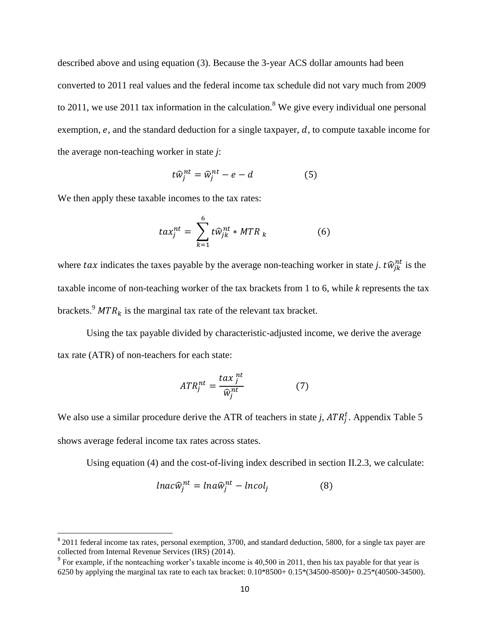described above and using equation (3). Because the 3-year ACS dollar amounts had been converted to 2011 real values and the federal income tax schedule did not vary much from 2009 to 2011, we use 2011 tax information in the calculation.<sup>8</sup> We give every individual one personal exemption,  $e$ , and the standard deduction for a single taxpayer,  $d$ , to compute taxable income for the average non-teaching worker in state *j*:

$$
t\widehat{w}_j^{nt} = \widehat{w}_j^{nt} - e - d \tag{5}
$$

We then apply these taxable incomes to the tax rates:

$$
tax_j^{nt} = \sum_{k=1}^{6} t\widehat{w}_{jk}^{nt} * MTR_k
$$
 (6)

where tax indicates the taxes payable by the average non-teaching worker in state *j*.  $t\hat{w}_{jk}^{nt}$  is the taxable income of non-teaching worker of the tax brackets from 1 to 6, while *k* represents the tax brackets.<sup>9</sup>  $MTR_k$  is the marginal tax rate of the relevant tax bracket.

Using the tax payable divided by characteristic-adjusted income, we derive the average tax rate (ATR) of non-teachers for each state:

$$
ATR_j^{nt} = \frac{\tan \frac{nt}{j}}{\widehat{w}_j^{nt}} \tag{7}
$$

We also use a similar procedure derive the ATR of teachers in state *j*,  $ATR_j^t$ . Appendix Table 5 shows average federal income tax rates across states.

Using equation (4) and the cost-of-living index described in section II.2.3, we calculate:

$$
lnac\hat{w}_j^{nt} = lna\hat{w}_j^{nt} - lncol_j
$$
 (8)

<sup>&</sup>lt;sup>8</sup> 2011 federal income tax rates, personal exemption, 3700, and standard deduction, 5800, for a single tax payer are collected from Internal Revenue Services (IRS) (2014).

<sup>&</sup>lt;sup>9</sup> For example, if the nonteaching worker's taxable income is 40,500 in 2011, then his tax payable for that year is 6250 by applying the marginal tax rate to each tax bracket: 0.10\*8500+ 0.15\*(34500-8500)+ 0.25\*(40500-34500).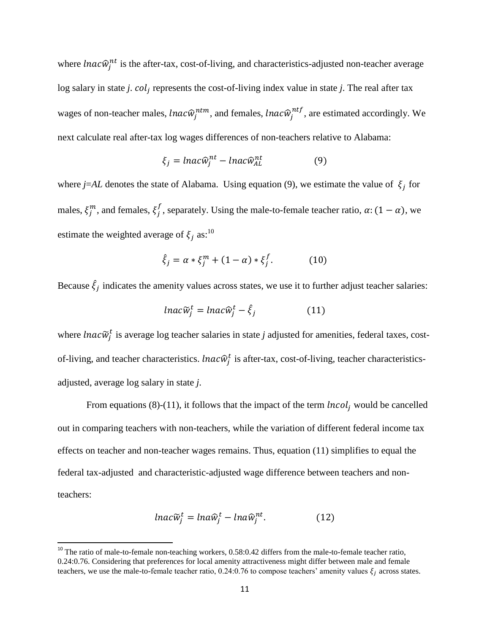where *lnac* $\hat{w}_j$ <sup>nt</sup> is the after-tax, cost-of-living, and characteristics-adjusted non-teacher average log salary in state *j. col<sub>j</sub>* represents the cost-of-living index value in state *j*. The real after tax wages of non-teacher males,  ${lnac} \widehat{w}^{ntm}_{j}$ , and females,  ${lnac} \widehat{w}^{ntf}_{j}$ , are estimated accordingly. We next calculate real after-tax log wages differences of non-teachers relative to Alabama:

$$
\xi_j = \ln a c \hat{w}_j^{nt} - \ln a c \hat{w}_{AL}^{nt} \tag{9}
$$

where  $j=AL$  denotes the state of Alabama. Using equation (9), we estimate the value of  $\xi_j$  for males,  $\xi_j^m$ , and females,  $\xi_j^f$ , separately. Using the male-to-female teacher ratio,  $\alpha$ :  $(1 - \alpha)$ , we estimate the weighted average of  $\xi_i$  as:<sup>10</sup>

$$
\hat{\xi}_j = \alpha * \xi_j^m + (1 - \alpha) * \xi_j^f. \tag{10}
$$

Because  $\hat{\xi}_j$  indicates the amenity values across states, we use it to further adjust teacher salaries:

$$
lnac\widetilde{w}_j^t = lnac\widehat{w}_j^t - \widehat{\xi}_j \tag{11}
$$

where *lnac* $\widetilde{w}_j^t$  is average log teacher salaries in state *j* adjusted for amenities, federal taxes, costof-living, and teacher characteristics. *lnac* $\hat{w}_j^t$  is after-tax, cost-of-living, teacher characteristicsadjusted, average log salary in state *j*.

From equations (8)-(11), it follows that the impact of the term  $|ncol_i|$  would be cancelled out in comparing teachers with non-teachers, while the variation of different federal income tax effects on teacher and non-teacher wages remains. Thus, equation (11) simplifies to equal the federal tax-adjusted and characteristic-adjusted wage difference between teachers and nonteachers:

$$
lnac\widetilde{w}_j^t = lna\widehat{w}_j^t - lna\widehat{w}_j^{nt}.
$$
 (12)

 $\overline{\phantom{a}}$ 

<sup>&</sup>lt;sup>10</sup> The ratio of male-to-female non-teaching workers, 0.58:0.42 differs from the male-to-female teacher ratio, 0.24:0.76. Considering that preferences for local amenity attractiveness might differ between male and female teachers, we use the male-to-female teacher ratio, 0.24:0.76 to compose teachers' amenity values  $\xi_i$  across states.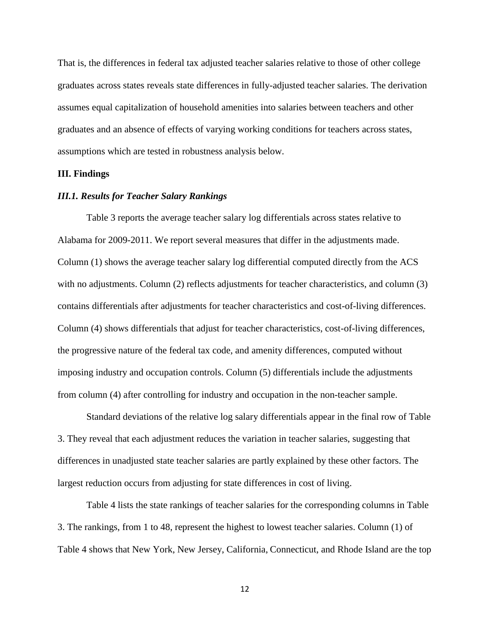That is, the differences in federal tax adjusted teacher salaries relative to those of other college graduates across states reveals state differences in fully-adjusted teacher salaries. The derivation assumes equal capitalization of household amenities into salaries between teachers and other graduates and an absence of effects of varying working conditions for teachers across states, assumptions which are tested in robustness analysis below.

### **III. Findings**

#### *III.1. Results for Teacher Salary Rankings*

Table 3 reports the average teacher salary log differentials across states relative to Alabama for 2009-2011. We report several measures that differ in the adjustments made. Column (1) shows the average teacher salary log differential computed directly from the ACS with no adjustments. Column (2) reflects adjustments for teacher characteristics, and column (3) contains differentials after adjustments for teacher characteristics and cost-of-living differences. Column (4) shows differentials that adjust for teacher characteristics, cost-of-living differences, the progressive nature of the federal tax code, and amenity differences, computed without imposing industry and occupation controls. Column (5) differentials include the adjustments from column (4) after controlling for industry and occupation in the non-teacher sample.

Standard deviations of the relative log salary differentials appear in the final row of Table 3. They reveal that each adjustment reduces the variation in teacher salaries, suggesting that differences in unadjusted state teacher salaries are partly explained by these other factors. The largest reduction occurs from adjusting for state differences in cost of living.

Table 4 lists the state rankings of teacher salaries for the corresponding columns in Table 3. The rankings, from 1 to 48, represent the highest to lowest teacher salaries. Column (1) of Table 4 shows that New York, New Jersey, California, Connecticut, and Rhode Island are the top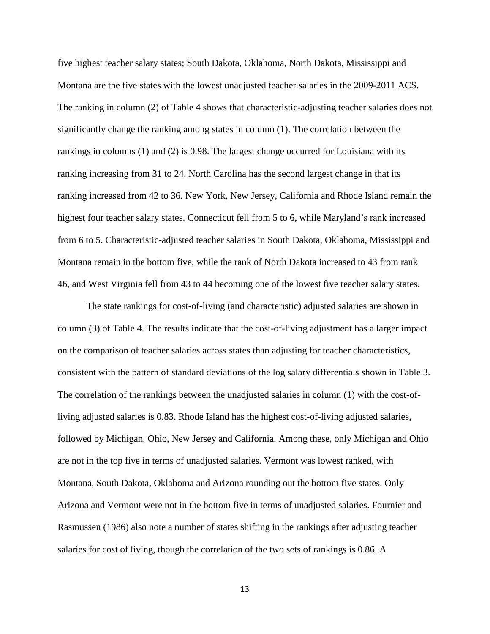five highest teacher salary states; South Dakota, Oklahoma, North Dakota, Mississippi and Montana are the five states with the lowest unadjusted teacher salaries in the 2009-2011 ACS. The ranking in column (2) of Table 4 shows that characteristic-adjusting teacher salaries does not significantly change the ranking among states in column (1). The correlation between the rankings in columns (1) and (2) is 0.98. The largest change occurred for Louisiana with its ranking increasing from 31 to 24. North Carolina has the second largest change in that its ranking increased from 42 to 36. New York, New Jersey, California and Rhode Island remain the highest four teacher salary states. Connecticut fell from 5 to 6, while Maryland's rank increased from 6 to 5. Characteristic-adjusted teacher salaries in South Dakota, Oklahoma, Mississippi and Montana remain in the bottom five, while the rank of North Dakota increased to 43 from rank 46, and West Virginia fell from 43 to 44 becoming one of the lowest five teacher salary states.

The state rankings for cost-of-living (and characteristic) adjusted salaries are shown in column (3) of Table 4. The results indicate that the cost-of-living adjustment has a larger impact on the comparison of teacher salaries across states than adjusting for teacher characteristics, consistent with the pattern of standard deviations of the log salary differentials shown in Table 3. The correlation of the rankings between the unadjusted salaries in column (1) with the cost-ofliving adjusted salaries is 0.83. Rhode Island has the highest cost-of-living adjusted salaries, followed by Michigan, Ohio, New Jersey and California. Among these, only Michigan and Ohio are not in the top five in terms of unadjusted salaries. Vermont was lowest ranked, with Montana, South Dakota, Oklahoma and Arizona rounding out the bottom five states. Only Arizona and Vermont were not in the bottom five in terms of unadjusted salaries. Fournier and Rasmussen (1986) also note a number of states shifting in the rankings after adjusting teacher salaries for cost of living, though the correlation of the two sets of rankings is 0.86. A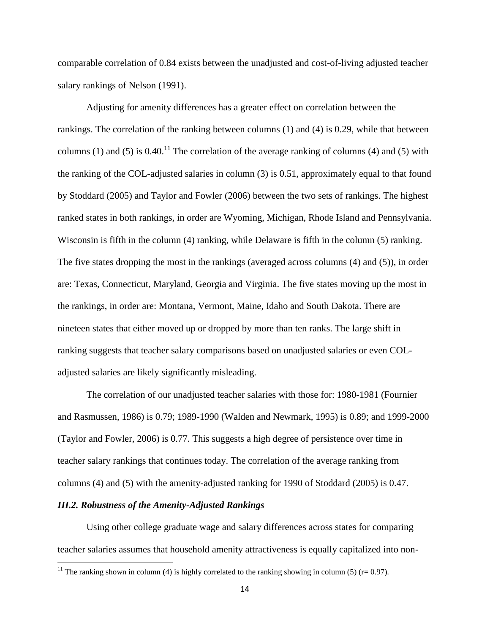comparable correlation of 0.84 exists between the unadjusted and cost-of-living adjusted teacher salary rankings of Nelson (1991).

Adjusting for amenity differences has a greater effect on correlation between the rankings. The correlation of the ranking between columns (1) and (4) is 0.29, while that between columns (1) and (5) is  $0.40$ .<sup>11</sup> The correlation of the average ranking of columns (4) and (5) with the ranking of the COL-adjusted salaries in column (3) is 0.51, approximately equal to that found by Stoddard (2005) and Taylor and Fowler (2006) between the two sets of rankings. The highest ranked states in both rankings, in order are Wyoming, Michigan, Rhode Island and Pennsylvania. Wisconsin is fifth in the column (4) ranking, while Delaware is fifth in the column (5) ranking. The five states dropping the most in the rankings (averaged across columns (4) and (5)), in order are: Texas, Connecticut, Maryland, Georgia and Virginia. The five states moving up the most in the rankings, in order are: Montana, Vermont, Maine, Idaho and South Dakota. There are nineteen states that either moved up or dropped by more than ten ranks. The large shift in ranking suggests that teacher salary comparisons based on unadjusted salaries or even COLadjusted salaries are likely significantly misleading.

The correlation of our unadjusted teacher salaries with those for: 1980-1981 (Fournier and Rasmussen, 1986) is 0.79; 1989-1990 (Walden and Newmark, 1995) is 0.89; and 1999-2000 (Taylor and Fowler, 2006) is 0.77. This suggests a high degree of persistence over time in teacher salary rankings that continues today. The correlation of the average ranking from columns (4) and (5) with the amenity-adjusted ranking for 1990 of Stoddard (2005) is 0.47.

### *III.2. Robustness of the Amenity-Adjusted Rankings*

 $\overline{\phantom{a}}$ 

Using other college graduate wage and salary differences across states for comparing teacher salaries assumes that household amenity attractiveness is equally capitalized into non-

<sup>&</sup>lt;sup>11</sup> The ranking shown in column (4) is highly correlated to the ranking showing in column (5) (r= 0.97).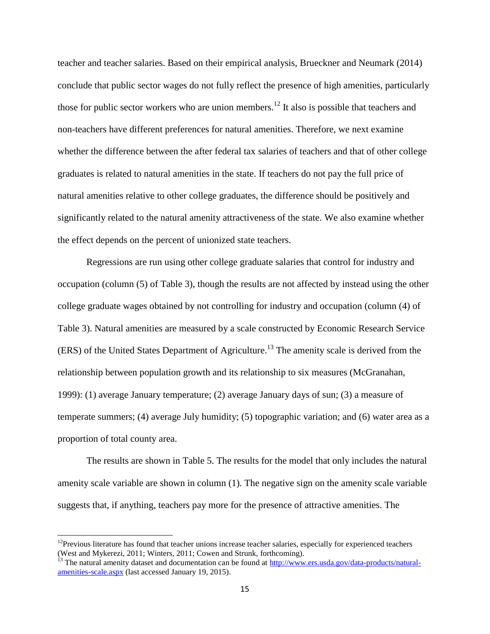teacher and teacher salaries. Based on their empirical analysis, Brueckner and Neumark (2014) conclude that public sector wages do not fully reflect the presence of high amenities, particularly those for public sector workers who are union members.<sup>12</sup> It also is possible that teachers and non-teachers have different preferences for natural amenities. Therefore, we next examine whether the difference between the after federal tax salaries of teachers and that of other college graduates is related to natural amenities in the state. If teachers do not pay the full price of natural amenities relative to other college graduates, the difference should be positively and significantly related to the natural amenity attractiveness of the state. We also examine whether the effect depends on the percent of unionized state teachers.

Regressions are run using other college graduate salaries that control for industry and occupation (column (5) of Table 3), though the results are not affected by instead using the other college graduate wages obtained by not controlling for industry and occupation (column (4) of Table 3). Natural amenities are measured by a scale constructed by Economic Research Service  $(ERS)$  of the United States Department of Agriculture.<sup>13</sup> The amenity scale is derived from the relationship between population growth and its relationship to six measures (McGranahan, 1999): (1) average January temperature; (2) average January days of sun; (3) a measure of temperate summers; (4) average July humidity; (5) topographic variation; and (6) water area as a proportion of total county area.

The results are shown in Table 5. The results for the model that only includes the natural amenity scale variable are shown in column (1). The negative sign on the amenity scale variable suggests that, if anything, teachers pay more for the presence of attractive amenities. The

 $\overline{\phantom{a}}$ 

 $12$ Previous literature has found that teacher unions increase teacher salaries, especially for experienced teachers (West and Mykerezi, 2011; Winters, 2011; Cowen and Strunk, forthcoming).

<sup>&</sup>lt;sup>13</sup> The natural amenity dataset and documentation can be found at  $\frac{http://www.ers.usda.gov/data-products/natural$ [amenities-scale.aspx](http://www.ers.usda.gov/data-products/natural-amenities-scale.aspx) (last accessed January 19, 2015).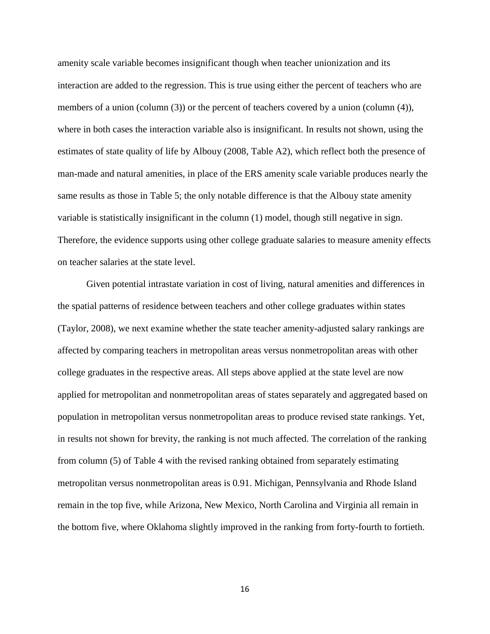amenity scale variable becomes insignificant though when teacher unionization and its interaction are added to the regression. This is true using either the percent of teachers who are members of a union (column (3)) or the percent of teachers covered by a union (column (4)), where in both cases the interaction variable also is insignificant. In results not shown, using the estimates of state quality of life by Albouy (2008, Table A2), which reflect both the presence of man-made and natural amenities, in place of the ERS amenity scale variable produces nearly the same results as those in Table 5; the only notable difference is that the Albouy state amenity variable is statistically insignificant in the column (1) model, though still negative in sign. Therefore, the evidence supports using other college graduate salaries to measure amenity effects on teacher salaries at the state level.

Given potential intrastate variation in cost of living, natural amenities and differences in the spatial patterns of residence between teachers and other college graduates within states (Taylor, 2008), we next examine whether the state teacher amenity-adjusted salary rankings are affected by comparing teachers in metropolitan areas versus nonmetropolitan areas with other college graduates in the respective areas. All steps above applied at the state level are now applied for metropolitan and nonmetropolitan areas of states separately and aggregated based on population in metropolitan versus nonmetropolitan areas to produce revised state rankings. Yet, in results not shown for brevity, the ranking is not much affected. The correlation of the ranking from column (5) of Table 4 with the revised ranking obtained from separately estimating metropolitan versus nonmetropolitan areas is 0.91. Michigan, Pennsylvania and Rhode Island remain in the top five, while Arizona, New Mexico, North Carolina and Virginia all remain in the bottom five, where Oklahoma slightly improved in the ranking from forty-fourth to fortieth.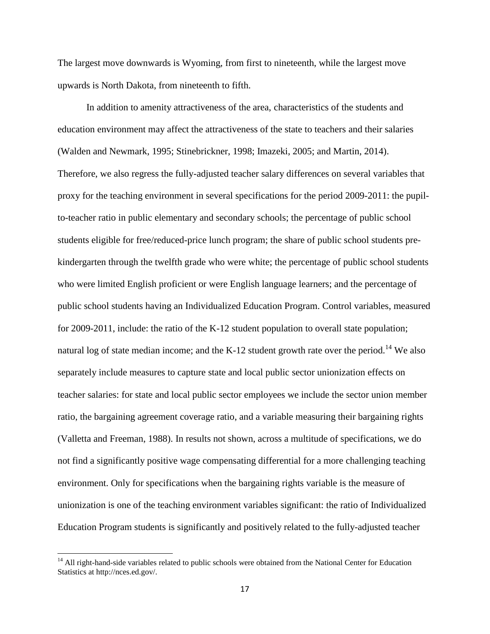The largest move downwards is Wyoming, from first to nineteenth, while the largest move upwards is North Dakota, from nineteenth to fifth.

In addition to amenity attractiveness of the area, characteristics of the students and education environment may affect the attractiveness of the state to teachers and their salaries (Walden and Newmark, 1995; Stinebrickner, 1998; Imazeki, 2005; and Martin, 2014). Therefore, we also regress the fully-adjusted teacher salary differences on several variables that proxy for the teaching environment in several specifications for the period 2009-2011: the pupilto-teacher ratio in public elementary and secondary schools; the percentage of public school students eligible for free/reduced-price lunch program; the share of public school students prekindergarten through the twelfth grade who were white; the percentage of public school students who were limited English proficient or were English language learners; and the percentage of public school students having an Individualized Education Program. Control variables, measured for 2009-2011, include: the ratio of the K-12 student population to overall state population; natural log of state median income; and the K-12 student growth rate over the period.<sup>14</sup> We also separately include measures to capture state and local public sector unionization effects on teacher salaries: for state and local public sector employees we include the sector union member ratio, the bargaining agreement coverage ratio, and a variable measuring their bargaining rights (Valletta and Freeman, 1988). In results not shown, across a multitude of specifications, we do not find a significantly positive wage compensating differential for a more challenging teaching environment. Only for specifications when the bargaining rights variable is the measure of unionization is one of the teaching environment variables significant: the ratio of Individualized Education Program students is significantly and positively related to the fully-adjusted teacher

 $\overline{\phantom{a}}$ 

<sup>&</sup>lt;sup>14</sup> All right-hand-side variables related to public schools were obtained from the National Center for Education Statistics at http://nces.ed.gov/.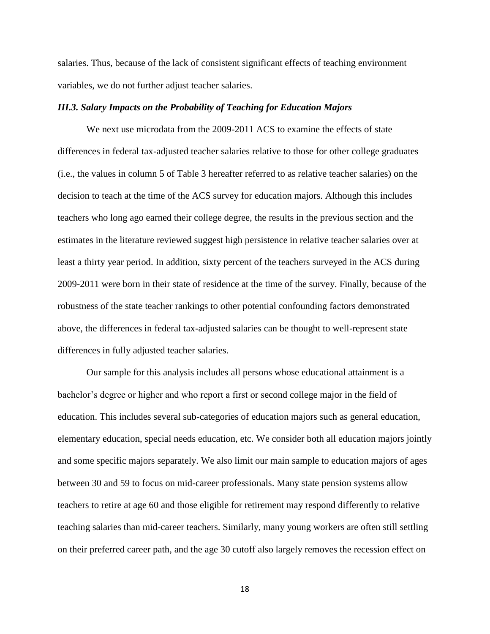salaries. Thus, because of the lack of consistent significant effects of teaching environment variables, we do not further adjust teacher salaries.

### *III.3. Salary Impacts on the Probability of Teaching for Education Majors*

We next use microdata from the 2009-2011 ACS to examine the effects of state differences in federal tax-adjusted teacher salaries relative to those for other college graduates (i.e., the values in column 5 of Table 3 hereafter referred to as relative teacher salaries) on the decision to teach at the time of the ACS survey for education majors. Although this includes teachers who long ago earned their college degree, the results in the previous section and the estimates in the literature reviewed suggest high persistence in relative teacher salaries over at least a thirty year period. In addition, sixty percent of the teachers surveyed in the ACS during 2009-2011 were born in their state of residence at the time of the survey. Finally, because of the robustness of the state teacher rankings to other potential confounding factors demonstrated above, the differences in federal tax-adjusted salaries can be thought to well-represent state differences in fully adjusted teacher salaries.

Our sample for this analysis includes all persons whose educational attainment is a bachelor's degree or higher and who report a first or second college major in the field of education. This includes several sub-categories of education majors such as general education, elementary education, special needs education, etc. We consider both all education majors jointly and some specific majors separately. We also limit our main sample to education majors of ages between 30 and 59 to focus on mid-career professionals. Many state pension systems allow teachers to retire at age 60 and those eligible for retirement may respond differently to relative teaching salaries than mid-career teachers. Similarly, many young workers are often still settling on their preferred career path, and the age 30 cutoff also largely removes the recession effect on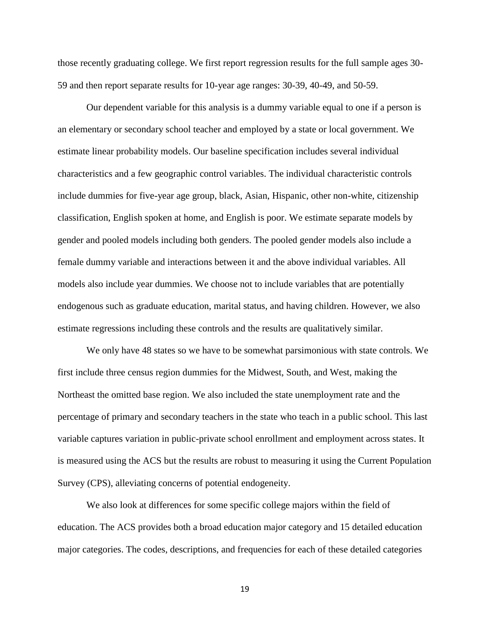those recently graduating college. We first report regression results for the full sample ages 30- 59 and then report separate results for 10-year age ranges: 30-39, 40-49, and 50-59.

Our dependent variable for this analysis is a dummy variable equal to one if a person is an elementary or secondary school teacher and employed by a state or local government. We estimate linear probability models. Our baseline specification includes several individual characteristics and a few geographic control variables. The individual characteristic controls include dummies for five-year age group, black, Asian, Hispanic, other non-white, citizenship classification, English spoken at home, and English is poor. We estimate separate models by gender and pooled models including both genders. The pooled gender models also include a female dummy variable and interactions between it and the above individual variables. All models also include year dummies. We choose not to include variables that are potentially endogenous such as graduate education, marital status, and having children. However, we also estimate regressions including these controls and the results are qualitatively similar.

We only have 48 states so we have to be somewhat parsimonious with state controls. We first include three census region dummies for the Midwest, South, and West, making the Northeast the omitted base region. We also included the state unemployment rate and the percentage of primary and secondary teachers in the state who teach in a public school. This last variable captures variation in public-private school enrollment and employment across states. It is measured using the ACS but the results are robust to measuring it using the Current Population Survey (CPS), alleviating concerns of potential endogeneity.

We also look at differences for some specific college majors within the field of education. The ACS provides both a broad education major category and 15 detailed education major categories. The codes, descriptions, and frequencies for each of these detailed categories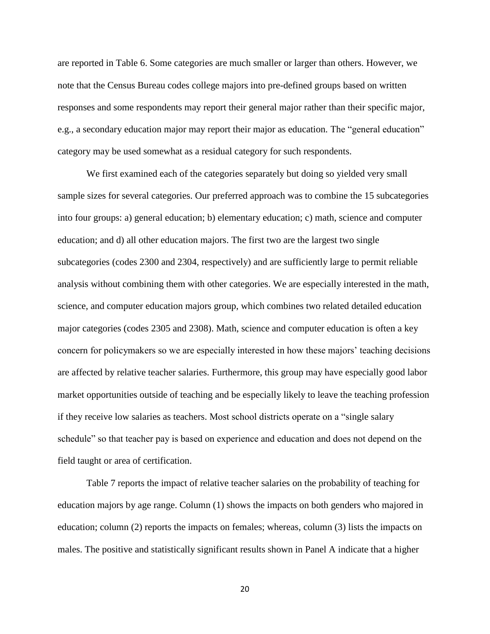are reported in Table 6. Some categories are much smaller or larger than others. However, we note that the Census Bureau codes college majors into pre-defined groups based on written responses and some respondents may report their general major rather than their specific major, e.g., a secondary education major may report their major as education. The "general education" category may be used somewhat as a residual category for such respondents.

We first examined each of the categories separately but doing so yielded very small sample sizes for several categories. Our preferred approach was to combine the 15 subcategories into four groups: a) general education; b) elementary education; c) math, science and computer education; and d) all other education majors. The first two are the largest two single subcategories (codes 2300 and 2304, respectively) and are sufficiently large to permit reliable analysis without combining them with other categories. We are especially interested in the math, science, and computer education majors group, which combines two related detailed education major categories (codes 2305 and 2308). Math, science and computer education is often a key concern for policymakers so we are especially interested in how these majors' teaching decisions are affected by relative teacher salaries. Furthermore, this group may have especially good labor market opportunities outside of teaching and be especially likely to leave the teaching profession if they receive low salaries as teachers. Most school districts operate on a "single salary schedule" so that teacher pay is based on experience and education and does not depend on the field taught or area of certification.

Table 7 reports the impact of relative teacher salaries on the probability of teaching for education majors by age range. Column (1) shows the impacts on both genders who majored in education; column (2) reports the impacts on females; whereas, column (3) lists the impacts on males. The positive and statistically significant results shown in Panel A indicate that a higher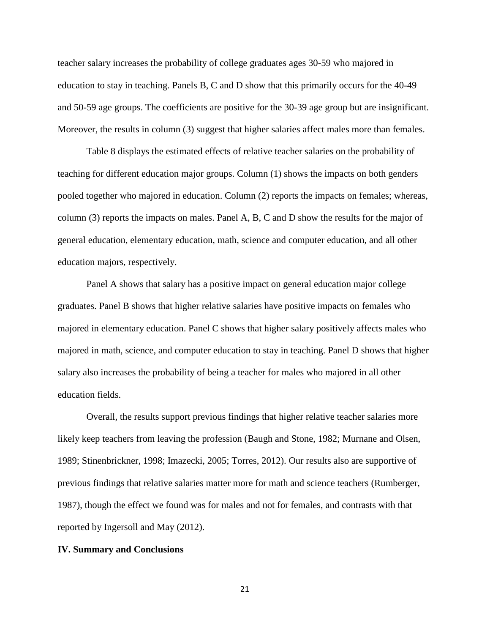teacher salary increases the probability of college graduates ages 30-59 who majored in education to stay in teaching. Panels B, C and D show that this primarily occurs for the 40-49 and 50-59 age groups. The coefficients are positive for the 30-39 age group but are insignificant. Moreover, the results in column (3) suggest that higher salaries affect males more than females.

Table 8 displays the estimated effects of relative teacher salaries on the probability of teaching for different education major groups. Column (1) shows the impacts on both genders pooled together who majored in education. Column (2) reports the impacts on females; whereas, column (3) reports the impacts on males. Panel A, B, C and D show the results for the major of general education, elementary education, math, science and computer education, and all other education majors, respectively.

Panel A shows that salary has a positive impact on general education major college graduates. Panel B shows that higher relative salaries have positive impacts on females who majored in elementary education. Panel C shows that higher salary positively affects males who majored in math, science, and computer education to stay in teaching. Panel D shows that higher salary also increases the probability of being a teacher for males who majored in all other education fields.

Overall, the results support previous findings that higher relative teacher salaries more likely keep teachers from leaving the profession (Baugh and Stone, 1982; Murnane and Olsen, 1989; Stinenbrickner, 1998; Imazecki, 2005; Torres, 2012). Our results also are supportive of previous findings that relative salaries matter more for math and science teachers (Rumberger, 1987), though the effect we found was for males and not for females, and contrasts with that reported by Ingersoll and May (2012).

#### **IV. Summary and Conclusions**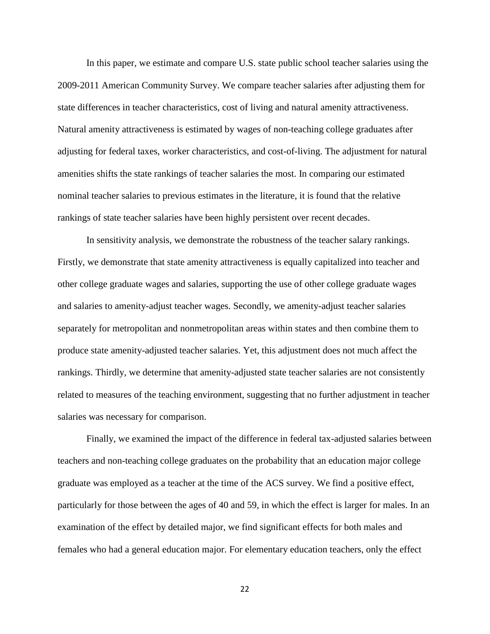In this paper, we estimate and compare U.S. state public school teacher salaries using the 2009-2011 American Community Survey. We compare teacher salaries after adjusting them for state differences in teacher characteristics, cost of living and natural amenity attractiveness. Natural amenity attractiveness is estimated by wages of non-teaching college graduates after adjusting for federal taxes, worker characteristics, and cost-of-living. The adjustment for natural amenities shifts the state rankings of teacher salaries the most. In comparing our estimated nominal teacher salaries to previous estimates in the literature, it is found that the relative rankings of state teacher salaries have been highly persistent over recent decades.

In sensitivity analysis, we demonstrate the robustness of the teacher salary rankings. Firstly, we demonstrate that state amenity attractiveness is equally capitalized into teacher and other college graduate wages and salaries, supporting the use of other college graduate wages and salaries to amenity-adjust teacher wages. Secondly, we amenity-adjust teacher salaries separately for metropolitan and nonmetropolitan areas within states and then combine them to produce state amenity-adjusted teacher salaries. Yet, this adjustment does not much affect the rankings. Thirdly, we determine that amenity-adjusted state teacher salaries are not consistently related to measures of the teaching environment, suggesting that no further adjustment in teacher salaries was necessary for comparison.

Finally, we examined the impact of the difference in federal tax-adjusted salaries between teachers and non-teaching college graduates on the probability that an education major college graduate was employed as a teacher at the time of the ACS survey. We find a positive effect, particularly for those between the ages of 40 and 59, in which the effect is larger for males. In an examination of the effect by detailed major, we find significant effects for both males and females who had a general education major. For elementary education teachers, only the effect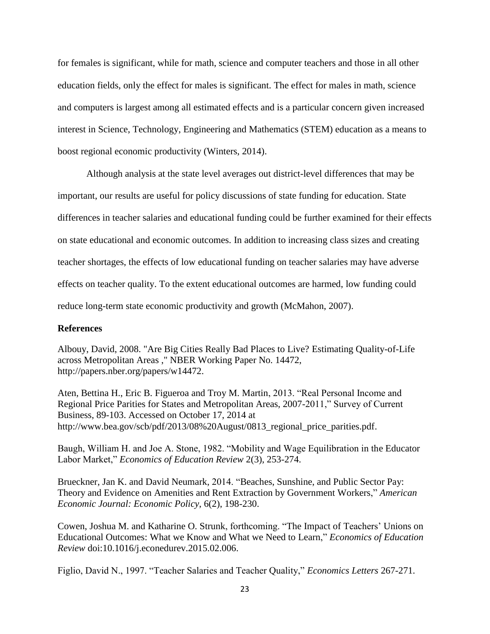for females is significant, while for math, science and computer teachers and those in all other education fields, only the effect for males is significant. The effect for males in math, science and computers is largest among all estimated effects and is a particular concern given increased interest in Science, Technology, Engineering and Mathematics (STEM) education as a means to boost regional economic productivity (Winters, 2014).

Although analysis at the state level averages out district-level differences that may be important, our results are useful for policy discussions of state funding for education. State differences in teacher salaries and educational funding could be further examined for their effects on state educational and economic outcomes. In addition to increasing class sizes and creating teacher shortages, the effects of low educational funding on teacher salaries may have adverse effects on teacher quality. To the extent educational outcomes are harmed, low funding could reduce long-term state economic productivity and growth (McMahon, 2007).

### **References**

Albouy, David, 2008. "Are Big Cities Really Bad Places to Live? Estimating Quality-of-Life across Metropolitan Areas ," NBER Working Paper No. 14472, [http://papers.nber.org/papers/w14472.](http://papers.nber.org/papers/w14472)

Aten, Bettina H., Eric B. Figueroa and Troy M. Martin, 2013. "Real Personal Income and Regional Price Parities for States and Metropolitan Areas, 2007-2011," Survey of Current Business, 89-103. Accessed on October 17, 2014 at http://www.bea.gov/scb/pdf/2013/08%20August/0813\_regional\_price\_parities.pdf.

Baugh, William H. and Joe A. Stone, 1982. "Mobility and Wage Equilibration in the Educator Labor Market," *Economics of Education Review* 2(3), 253-274.

Brueckner, Jan K. and David Neumark, 2014. ["Beaches, Sunshine, and Public Sector Pay:](http://web.a.ebscohost.com.argo.library.okstate.edu/ehost/viewarticle?data=dGJyMPPp44rp2%2fdV0%2bnjisfk5Ie46a9JtqexTa6k63nn5Kx94eXsWK%2blr1CtqK5Js5avSLirtlKxq55Zy5zyit%2fk8Xnh6ueH7N%2fiVauqtUiyqq5Ktq%2bkhN%2fk5VXj5KR84LPje%2byc8nnls79mpNfsVa%2bqsE%2b3r7M%2b5OXwhd%2fqu37z4uqM4%2b7y&hid=4101)  [Theory and Evidence on Amenities and Rent Extraction by Government Workers,](http://web.a.ebscohost.com.argo.library.okstate.edu/ehost/viewarticle?data=dGJyMPPp44rp2%2fdV0%2bnjisfk5Ie46a9JtqexTa6k63nn5Kx94eXsWK%2blr1CtqK5Js5avSLirtlKxq55Zy5zyit%2fk8Xnh6ueH7N%2fiVauqtUiyqq5Ktq%2bkhN%2fk5VXj5KR84LPje%2byc8nnls79mpNfsVa%2bqsE%2b3r7M%2b5OXwhd%2fqu37z4uqM4%2b7y&hid=4101)" *American Economic Journal: Economic Policy*, 6(2), 198-230.

Cowen, Joshua M. and Katharine O. Strunk, forthcoming. "The Impact of Teachers' Unions on Educational Outcomes: What we Know and What we Need to Learn," *Economics of Education Review* [doi:10.1016/j.econedurev.2015.02.006.](http://dx.doi.org/10.1016/j.econedurev.2015.02.006)

Figlio, David N., 1997. "Teacher Salaries and Teacher Quality," *Economics Letters* 267-271.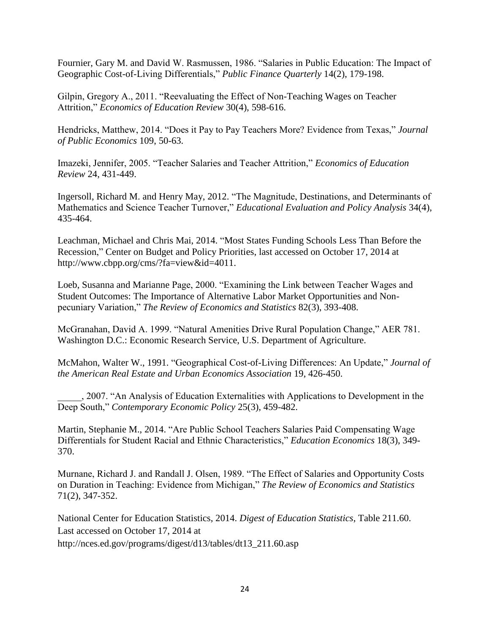Fournier, Gary M. and David W. Rasmussen, 1986. "Salaries in Public Education: The Impact of Geographic Cost-of-Living Differentials," *Public Finance Quarterly* 14(2), 179-198.

Gilpin, Gregory A., 2011. "Reevaluating the Effect of Non-Teaching Wages on Teacher Attrition," *Economics of Education Review* 30(4), 598-616.

Hendricks, Matthew, 2014. "Does it Pay to Pay Teachers More? Evidence from Texas," *Journal of Public Economics* 109, 50-63.

Imazeki, Jennifer, 2005. "Teacher Salaries and Teacher Attrition," *Economics of Education Review* 24, 431-449.

Ingersoll, Richard M. and Henry May, 2012. "The Magnitude, Destinations, and Determinants of Mathematics and Science Teacher Turnover," *Educational Evaluation and Policy Analysis* 34(4), 435-464.

Leachman, Michael and Chris Mai, 2014. "Most States Funding Schools Less Than Before the Recession," Center on Budget and Policy Priorities, last accessed on October 17, 2014 at [http://www.cbpp.org/cms/?fa=view&id=4011.](http://www.cbpp.org/cms/?fa=view&id=4011)

Loeb, Susanna and Marianne Page, 2000. "Examining the Link between Teacher Wages and Student Outcomes: The Importance of Alternative Labor Market Opportunities and Nonpecuniary Variation," *The Review of Economics and Statistics* 82(3), 393-408.

McGranahan, David A. 1999. "Natural Amenities Drive Rural Population Change," AER 781. Washington D.C.: Economic Research Service, U.S. Department of Agriculture.

McMahon, Walter W., 1991. "Geographical Cost-of-Living Differences: An Update," *Journal of the American Real Estate and Urban Economics Association* 19, 426-450.

\_\_\_\_\_, 2007. "An Analysis of Education Externalities with Applications to Development in the Deep South," *Contemporary Economic Policy* 25(3), 459-482.

Martin, Stephanie M., 2014. "Are Public School Teachers Salaries Paid Compensating Wage Differentials for Student Racial and Ethnic Characteristics," *Education Economics* 18(3), 349- 370.

Murnane, Richard J. and Randall J. Olsen, 1989. "The Effect of Salaries and Opportunity Costs on Duration in Teaching: Evidence from Michigan," *The Review of Economics and Statistics* 71(2), 347-352.

National Center for Education Statistics, 2014. *Digest of Education Statistics*, Table 211.60. Last accessed on October 17, 2014 at [http://nces.ed.gov/programs/digest/d13/tables/dt13\\_211.60.asp](http://nces.ed.gov/programs/digest/d13/tables/dt13_211.60.asp)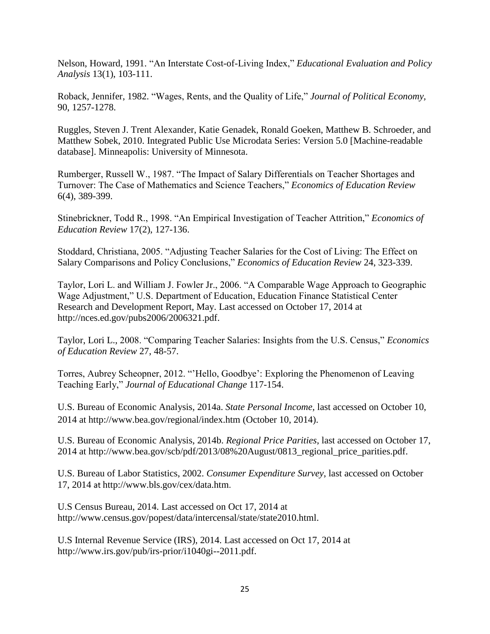Nelson, Howard, 1991. "An Interstate Cost-of-Living Index," *Educational Evaluation and Policy Analysis* 13(1), 103-111.

Roback, Jennifer, 1982. "Wages, Rents, and the Quality of Life," *Journal of Political Economy,* 90, 1257-1278.

Ruggles, Steven J. Trent Alexander, Katie Genadek, Ronald Goeken, Matthew B. Schroeder, and Matthew Sobek, 2010. Integrated Public Use Microdata Series: Version 5.0 [Machine-readable database]. Minneapolis: University of Minnesota.

Rumberger, Russell W., 1987. "The Impact of Salary Differentials on Teacher Shortages and Turnover: The Case of Mathematics and Science Teachers," *Economics of Education Review* 6(4), 389-399.

Stinebrickner, Todd R., 1998. "An Empirical Investigation of Teacher Attrition," *Economics of Education Review* 17(2), 127-136.

Stoddard, Christiana, 2005. "Adjusting Teacher Salaries for the Cost of Living: The Effect on Salary Comparisons and Policy Conclusions," *Economics of Education Review* 24, 323-339.

Taylor, Lori L. and William J. Fowler Jr., 2006. "A Comparable Wage Approach to Geographic Wage Adjustment," U.S. Department of Education, Education Finance Statistical Center Research and Development Report, May. Last accessed on October 17, 2014 at [http://nces.ed.gov/pubs2006/2006321.pdf.](http://nces.ed.gov/pubs2006/2006321.pdf)

Taylor, Lori L., 2008. "Comparing Teacher Salaries: Insights from the U.S. Census," *Economics of Education Review* 27, 48-57.

Torres, Aubrey Scheopner, 2012. "'Hello, Goodbye': Exploring the Phenomenon of Leaving Teaching Early," *Journal of Educational Change* 117-154.

U.S. Bureau of Economic Analysis, 2014a. *State Personal Income*, last accessed on October 10, 2014 at<http://www.bea.gov/regional/index.htm> (October 10, 2014).

U.S. Bureau of Economic Analysis, 2014b. *Regional Price Parities*, last accessed on October 17, 2014 at [http://www.bea.gov/scb/pdf/2013/08%20August/0813\\_regional\\_price\\_parities.pdf.](http://www.bea.gov/scb/pdf/2013/08%20August/0813_regional_price_parities.pdf)

U.S. Bureau of Labor Statistics, 2002. *Consumer Expenditure Survey*, last accessed on October 17, 2014 at http://www.bls.gov/cex/data.htm.

U.S Census Bureau, 2014. Last accessed on Oct 17, 2014 at [http://www.census.gov/popest/data/intercensal/state/state2010.html.](http://www.census.gov/popest/data/intercensal/state/state2010.html)

U.S Internal Revenue Service (IRS), 2014. Last accessed on Oct 17, 2014 at [http://www.irs.gov/pub/irs-prior/i1040gi--2011.pdf.](http://www.irs.gov/pub/irs-prior/i1040gi--2011.pdf)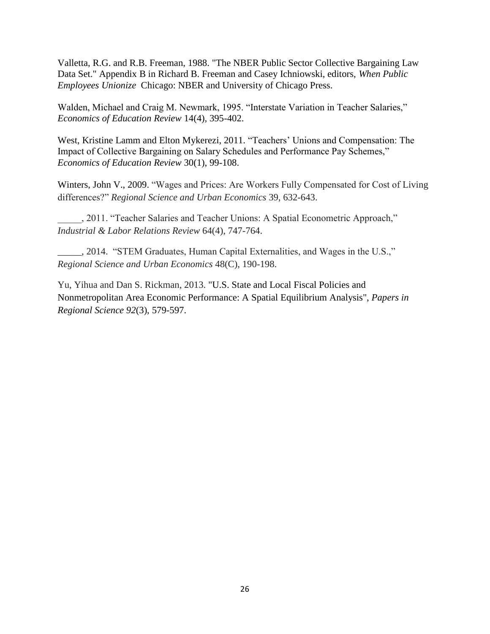Valletta, R.G. and R.B. Freeman, 1988. "The NBER Public Sector Collective Bargaining Law Data Set." Appendix B in Richard B. Freeman and Casey Ichniowski, editors, *When Public Employees Unionize* Chicago: NBER and University of Chicago Press.

Walden, Michael and Craig M. Newmark, 1995. "Interstate Variation in Teacher Salaries," *Economics of Education Review* 14(4), 395-402.

West, Kristine Lamm and Elton Mykerezi, 2011. "Teachers' Unions and Compensation: The Impact of Collective Bargaining on Salary Schedules and Performance Pay Schemes," *Economics of Education Review* 30(1), 99-108.

Winters, John V., 2009. "Wages and Prices: Are Workers Fully Compensated for Cost of Living differences?" *Regional Science and Urban Economics* 39, 632-643.

\_\_\_\_\_, 2011. "Teacher Salaries and Teacher Unions: A Spatial Econometric Approach," *Industrial & Labor Relations Review* 64(4), 747-764.

\_\_\_\_\_, 2014. "STEM Graduates, Human Capital Externalities, and Wages in the U.S.," *Regional Science and Urban Economics* 48(C), 190-198.

Yu, Yihua and Dan S. Rickman, 2013. "U.S. State and Local Fiscal Policies and Nonmetropolitan Area Economic Performance: A Spatial Equilibrium Analysis", *Papers in Regional Science 92*(3), 579-597.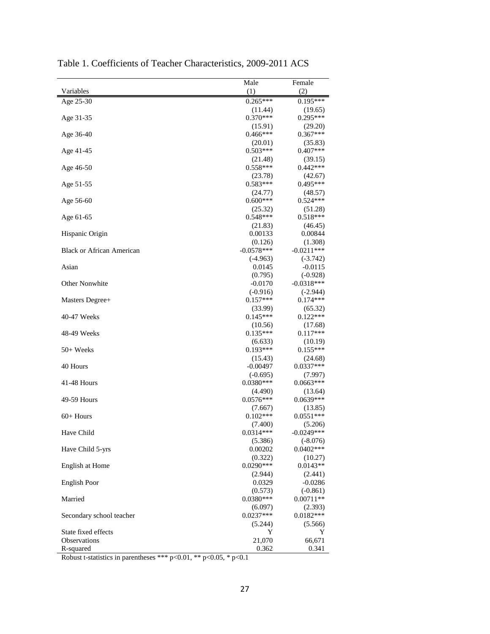|                                  | Male                   | Female                 |
|----------------------------------|------------------------|------------------------|
| Variables                        | (1)                    | (2)                    |
| Age 25-30                        | $0.265***$             | $0.195***$             |
|                                  | (11.44)                | (19.65)                |
| Age 31-35                        | $0.370***$             | $0.295***$             |
|                                  | (15.91)                | (29.20)                |
| Age 36-40                        | $0.466***$             | $0.367***$             |
|                                  | (20.01)                | (35.83)                |
| Age 41-45                        | $0.503***$             | $0.407***$             |
|                                  | (21.48)                | (39.15)                |
| Age 46-50                        | $0.558***$             | $0.442***$             |
|                                  | (23.78)                | (42.67)                |
| Age 51-55                        | $0.583***$             | $0.495***$             |
|                                  | (24.77)                | (48.57)                |
| Age 56-60                        | $0.600***$             | $0.524***$             |
|                                  | (25.32)                | (51.28)                |
| Age 61-65                        | $0.548***$             | $0.518***$             |
|                                  | (21.83)                | (46.45)                |
| Hispanic Origin                  | 0.00133                | 0.00844                |
|                                  | (0.126)                | (1.308)                |
| <b>Black or African American</b> | $-0.0578***$           | $-0.0211***$           |
|                                  | $(-4.963)$             | $(-3.742)$             |
| Asian                            | 0.0145                 | $-0.0115$              |
|                                  | (0.795)                | $(-0.928)$             |
| Other Nonwhite                   | $-0.0170$              | $-0.0318***$           |
|                                  | $(-0.916)$             | $(-2.944)$             |
| Masters Degree+                  | $0.157***$             | $0.174***$             |
|                                  | (33.99)                | (65.32)                |
| 40-47 Weeks                      | $0.145***$             | $0.122***$             |
|                                  | (10.56)                | (17.68)                |
| 48-49 Weeks                      | $0.135***$             | $0.117***$             |
|                                  | (6.633)                | (10.19)                |
| 50+ Weeks                        | $0.193***$             | $0.155***$             |
|                                  | (15.43)                | (24.68)                |
| 40 Hours                         | $-0.00497$             | $0.0337***$            |
|                                  | $(-0.695)$             | (7.997)                |
| 41-48 Hours                      | $0.0380***$            | $0.0663***$            |
| 49-59 Hours                      | (4.490)<br>$0.0576***$ | (13.64)<br>$0.0639***$ |
|                                  |                        |                        |
| $60+$ Hours                      | (7.667)<br>$0.102***$  | (13.85)<br>$0.0551***$ |
|                                  | (7.400)                | (5.206)                |
| Have Child                       | $0.0314***$            | $-0.0249***$           |
|                                  | (5.386)                | $(-8.076)$             |
| Have Child 5-yrs                 | 0.00202                | $0.0402***$            |
|                                  | (0.322)                | (10.27)                |
| English at Home                  | $0.0290***$            | $0.0143**$             |
|                                  | (2.944)                | (2.441)                |
| <b>English Poor</b>              | 0.0329                 | $-0.0286$              |
|                                  | (0.573)                | $(-0.861)$             |
| Married                          | 0.0380***              | $0.00711**$            |
|                                  | (6.097)                | (2.393)                |
| Secondary school teacher         | $0.0237***$            | $0.0182***$            |
|                                  | (5.244)                | (5.566)                |
| State fixed effects              | Y                      | Y                      |
| <b>Observations</b>              | 21,070                 | 66,671                 |
| R-squared                        | 0.362                  | 0.341                  |

Table 1. Coefficients of Teacher Characteristics, 2009-2011 ACS

Robust t-statistics in parentheses \*\*\*  $p<0.01$ , \*\*  $p<0.05$ , \*  $p<0.1$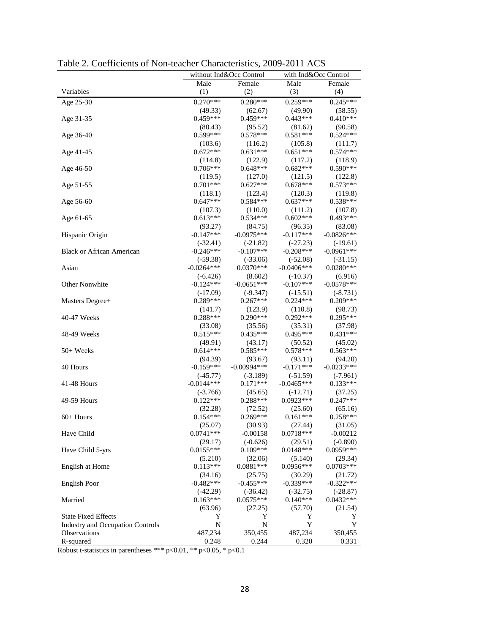|                                         |                       | without Ind&Occ Control | with Ind&Occ Control  |                       |
|-----------------------------------------|-----------------------|-------------------------|-----------------------|-----------------------|
|                                         | Male                  | Female                  | Male                  | Female                |
| Variables                               | (1)                   | (2)                     | (3)                   | (4)                   |
| Age 25-30                               | $0.270***$            | $0.280***$              | $0.259***$            | $0.245***$            |
|                                         | (49.33)               | (62.67)                 | (49.90)               | (58.55)               |
| Age 31-35                               | $0.459***$            | $0.459***$              | $0.443***$            | $0.410***$            |
|                                         | (80.43)               | (95.52)                 | (81.62)               | (90.58)               |
| Age 36-40                               | $0.599***$            | $0.578***$              | $0.581***$            | $0.524***$            |
|                                         | (103.6)               | (116.2)                 | (105.8)               | (111.7)               |
| Age 41-45                               | $0.672***$            | $0.631***$              | $0.651***$            | $0.574***$            |
|                                         | (114.8)               | (122.9)                 | (117.2)               | (118.9)               |
| Age 46-50                               | $0.706***$            | $0.648***$              | $0.682***$            | $0.590***$            |
|                                         | (119.5)               | (127.0)                 | (121.5)               | (122.8)               |
|                                         | $0.701***$            | $0.627***$              | $0.678***$            | $0.573***$            |
| Age 51-55                               |                       |                         |                       |                       |
|                                         | (118.1)<br>$0.647***$ | (123.4)<br>$0.584***$   | (120.3)<br>$0.637***$ | (119.8)<br>$0.538***$ |
| Age 56-60                               |                       |                         |                       |                       |
|                                         | (107.3)               | (110.0)<br>$0.534***$   | (111.2)<br>$0.602***$ | (107.8)<br>$0.493***$ |
| Age 61-65                               | $0.613***$            |                         |                       |                       |
|                                         | (93.27)               | (84.75)                 | (96.35)               | (83.08)               |
| Hispanic Origin                         | $-0.147***$           | $-0.0975***$            | $-0.117***$           | $-0.0826***$          |
|                                         | $(-32.41)$            | $(-21.82)$              | $(-27.23)$            | $(-19.61)$            |
| <b>Black or African American</b>        | $-0.246***$           | $-0.107***$             | $-0.208***$           | $-0.0961***$          |
|                                         | $(-59.38)$            | $(-33.06)$              | $(-52.08)$            | $(-31.15)$            |
| Asian                                   | $-0.0264***$          | $0.0370***$             | $-0.0406***$          | $0.0280***$           |
|                                         | $(-6.426)$            | (8.602)                 | $(-10.37)$            | (6.916)               |
| Other Nonwhite                          | $-0.124***$           | $-0.0651***$            | $-0.107***$           | $-0.0578***$          |
|                                         | $(-17.09)$            | $(-9.347)$              | $(-15.51)$            | $(-8.731)$            |
| Masters Degree+                         | $0.289***$            | $0.267***$              | $0.224***$            | $0.209***$            |
|                                         | (141.7)               | (123.9)                 | (110.8)               | (98.73)               |
| 40-47 Weeks                             | $0.288***$            | $0.290***$              | $0.292***$            | $0.295***$            |
|                                         | (33.08)               | (35.56)                 | (35.31)               | (37.98)               |
| 48-49 Weeks                             | $0.515***$            | $0.435***$              | $0.495***$            | $0.431***$            |
|                                         | (49.91)               | (43.17)                 | (50.52)               | (45.02)               |
| 50+ Weeks                               | $0.614***$            | $0.585***$              | $0.578***$            | $0.563***$            |
|                                         | (94.39)               | (93.67)                 | (93.11)               | (94.20)               |
| 40 Hours                                | $-0.159***$           | $-0.00994***$           | $-0.171***$           | $-0.0233***$          |
|                                         | $(-45.77)$            | $(-3.189)$              | $(-51.59)$            | $(-7.961)$            |
| 41-48 Hours                             | $-0.0144***$          | $0.171***$              | $-0.0465***$          | $0.133***$            |
|                                         | $(-3.766)$            | (45.65)                 | $(-12.71)$            | (37.25)               |
| 49-59 Hours                             | $0.122***$            | $0.288***$              | $0.0923***$           | $0.247***$            |
|                                         | (32.28)               | (72.52)                 | (25.60)               | (65.16)               |
| $60+$ Hours                             | $0.154***$            | $0.269***$              | $0.161***$            | $0.258***$            |
|                                         | (25.07)               | (30.93)                 | (27.44)               | (31.05)               |
| Have Child                              | $0.0741***$           | $-0.00158$              | 0.0718***             | $-0.00212$            |
|                                         | (29.17)               | $(-0.626)$              | (29.51)               | $(-0.890)$            |
| Have Child 5-yrs                        | $0.0155***$           | $0.109***$              | $0.0148***$           | 0.0959***             |
|                                         | (5.210)               | (32.06)                 | (5.140)               | (29.34)               |
| English at Home                         | $0.113***$            | $0.0881***$             | $0.0956***$           | $0.0703***$           |
|                                         | (34.16)               | (25.75)                 | (30.29)               | (21.72)               |
| <b>English Poor</b>                     | $-0.482***$           | $-0.455***$             | $-0.339***$           | $-0.322***$           |
|                                         | $(-42.29)$            | $(-36.42)$              | $(-32.75)$            | $(-28.87)$            |
| Married                                 | $0.163***$            | $0.0575***$             | $0.140***$            | $0.0432***$           |
|                                         | (63.96)               | (27.25)                 | (57.70)               | (21.54)               |
| <b>State Fixed Effects</b>              | Y                     | Y                       | Y                     | Y                     |
| <b>Industry and Occupation Controls</b> | N                     | N                       | Y                     | Y                     |
| Observations                            | 487,234               | 350,455                 | 487,234               | 350,455               |
| R-squared                               | 0.248                 | 0.244                   | 0.320                 | 0.331                 |

Table 2. Coefficients of Non-teacher Characteristics, 2009-2011 ACS

Robust t-statistics in parentheses \*\*\* p<0.01, \*\* p<0.05, \* p<0.1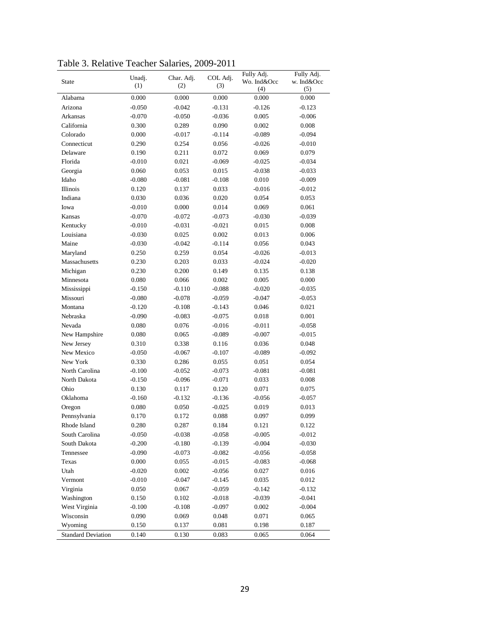| State                     | Unadj.<br>(1) | Char. Adj.<br>(2) | COL Adj.<br>(3) | Fully Adj.<br>Wo. Ind&Occ<br>(4) | Fully Adj.<br>w. Ind&Occ<br>(5) |
|---------------------------|---------------|-------------------|-----------------|----------------------------------|---------------------------------|
| Alabama                   | 0.000         | 0.000             | 0.000           | 0.000                            | 0.000                           |
| Arizona                   | $-0.050$      | $-0.042$          | $-0.131$        | $-0.126$                         | $-0.123$                        |
| Arkansas                  | $-0.070$      | $-0.050$          | $-0.036$        | 0.005                            | $-0.006$                        |
| California                | 0.300         | 0.289             | 0.090           | 0.002                            | 0.008                           |
| Colorado                  | 0.000         | $-0.017$          | $-0.114$        | $-0.089$                         | $-0.094$                        |
| Connecticut               | 0.290         | 0.254             | 0.056           | $-0.026$                         | $-0.010$                        |
| Delaware                  | 0.190         | 0.211             | 0.072           | 0.069                            | 0.079                           |
| Florida                   | $-0.010$      | 0.021             | $-0.069$        | $-0.025$                         | $-0.034$                        |
| Georgia                   | 0.060         | 0.053             | 0.015           | $-0.038$                         | $-0.033$                        |
| Idaho                     | $-0.080$      | $-0.081$          | $-0.108$        | 0.010                            | $-0.009$                        |
| Illinois                  | 0.120         | 0.137             | 0.033           | $-0.016$                         | $-0.012$                        |
| Indiana                   | 0.030         | 0.036             | 0.020           | 0.054                            | 0.053                           |
| Iowa                      | $-0.010$      | 0.000             | 0.014           | 0.069                            | 0.061                           |
| Kansas                    | $-0.070$      | $-0.072$          | $-0.073$        | $-0.030$                         | $-0.039$                        |
| Kentucky                  | $-0.010$      | $-0.031$          | $-0.021$        | 0.015                            | 0.008                           |
|                           |               |                   | 0.002           |                                  |                                 |
| Louisiana<br>Maine        | $-0.030$      | 0.025             |                 | 0.013                            | 0.006                           |
|                           | $-0.030$      | $-0.042$          | $-0.114$        | 0.056                            | 0.043                           |
| Maryland                  | 0.250         | 0.259             | 0.054           | $-0.026$                         | $-0.013$                        |
| Massachusetts             | 0.230         | 0.203             | 0.033           | -0.024                           | $-0.020$                        |
| Michigan                  | 0.230         | 0.200             | 0.149           | 0.135                            | 0.138                           |
| Minnesota                 | 0.080         | 0.066             | 0.002           | 0.005                            | 0.000                           |
| Mississippi               | $-0.150$      | $-0.110$          | $-0.088$        | $-0.020$                         | $-0.035$                        |
| Missouri                  | $-0.080$      | $-0.078$          | $-0.059$        | $-0.047$                         | $-0.053$                        |
| Montana                   | $-0.120$      | $-0.108$          | $-0.143$        | 0.046                            | 0.021                           |
| Nebraska                  | $-0.090$      | $-0.083$          | $-0.075$        | 0.018                            | 0.001                           |
| Nevada                    | 0.080         | 0.076             | $-0.016$        | -0.011                           | $-0.058$                        |
| New Hampshire             | 0.080         | 0.065             | $-0.089$        | $-0.007$                         | $-0.015$                        |
| New Jersey                | 0.310         | 0.338             | 0.116           | 0.036                            | 0.048                           |
| New Mexico                | $-0.050$      | $-0.067$          | $-0.107$        | -0.089                           | $-0.092$                        |
| New York                  | 0.330         | 0.286             | 0.055           | 0.051                            | 0.054                           |
| North Carolina            | $-0.100$      | $-0.052$          | $-0.073$        | $-0.081$                         | $-0.081$                        |
| North Dakota              | $-0.150$      | $-0.096$          | $-0.071$        | 0.033                            | 0.008                           |
| Ohio                      | 0.130         | 0.117             | 0.120           | 0.071                            | 0.075                           |
| Oklahoma                  | $-0.160$      | $-0.132$          | $-0.136$        | $-0.056$                         | $-0.057$                        |
| Oregon                    | 0.080         | 0.050             | $-0.025$        | 0.019                            | 0.013                           |
| Pennsylvania              | 0.170         | 0.172             | 0.088           | 0.097                            | 0.099                           |
| Rhode Island              | 0.280         | 0.287             | 0.184           | 0.121                            | 0.122                           |
| South Carolina            | $-0.050$      | $-0.038$          | $-0.058$        | $-0.005$                         | $-0.012$                        |
| South Dakota              | $-0.200$      | $-0.180$          | $-0.139$        | $-0.004$                         | $-0.030$                        |
| Tennessee                 | $-0.090$      | $-0.073$          | $-0.082$        | $-0.056$                         | $-0.058$                        |
| Texas                     | 0.000         | 0.055             | $-0.015$        | $-0.083$                         | $-0.068$                        |
| Utah                      | $-0.020$      | 0.002             | $-0.056$        | 0.027                            | 0.016                           |
| Vermont                   | $-0.010$      | $-0.047$          | $-0.145$        | 0.035                            | 0.012                           |
| Virginia                  | 0.050         | 0.067             | $-0.059$        | $-0.142$                         | $-0.132$                        |
| Washington                | 0.150         | 0.102             | $-0.018$        | $-0.039$                         | $-0.041$                        |
| West Virginia             | $-0.100$      | $-0.108$          | $-0.097$        | 0.002                            | $-0.004$                        |
| Wisconsin                 | 0.090         | 0.069             | 0.048           | 0.071                            | 0.065                           |
| Wyoming                   | 0.150         | 0.137             | 0.081           | 0.198                            | 0.187                           |
| <b>Standard Deviation</b> | 0.140         | 0.130             | 0.083           | 0.065                            | 0.064                           |

Table 3. Relative Teacher Salaries, 2009-2011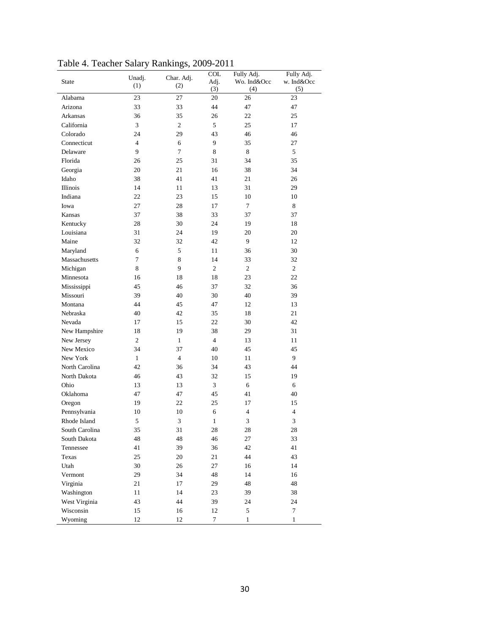| State          | $_{\text{inter}}$ same<br>Unadj. | 1<br>Char. Adj. | $\sim$<br><b>COL</b><br>Adj. | Fully Adj.<br>Wo. Ind&Occ | Fully Adj.<br>w. Ind&Occ |
|----------------|----------------------------------|-----------------|------------------------------|---------------------------|--------------------------|
|                | (1)                              | (2)             | (3)                          | (4)                       | (5)                      |
| Alabama        | 23                               | 27              | 20                           | 26                        | 23                       |
| Arizona        | 33                               | 33              | 44                           | 47                        | 47                       |
| Arkansas       | 36                               | 35              | 26                           | 22                        | 25                       |
| California     | 3                                | $\overline{c}$  | 5                            | 25                        | 17                       |
| Colorado       | 24                               | 29              | 43                           | 46                        | 46                       |
| Connecticut    | $\overline{4}$                   | 6               | 9                            | 35                        | 27                       |
| Delaware       | 9                                | $\tau$          | 8                            | 8                         | 5                        |
| Florida        | 26                               | 25              | 31                           | 34                        | 35                       |
| Georgia        | 20                               | 21              | 16                           | 38                        | 34                       |
| Idaho          | 38                               | 41              | 41                           | 21                        | 26                       |
| Illinois       | 14                               | 11              | 13                           | 31                        | 29                       |
| Indiana        | 22                               | 23              | 15                           | 10                        | 10                       |
| Iowa           | 27                               | 28              | 17                           | $\tau$                    | 8                        |
| Kansas         | 37                               | 38              | 33                           | 37                        | 37                       |
| Kentucky       | 28                               | 30              | 24                           | 19                        | 18                       |
| Louisiana      | 31                               | 24              | 19                           | 20                        | 20                       |
| Maine          | 32                               | 32              | 42                           | 9                         | 12                       |
| Maryland       | 6                                | 5               | 11                           | 36                        | 30                       |
| Massachusetts  | 7                                | 8               | 14                           | 33                        | 32                       |
| Michigan       | 8                                | 9               | $\overline{c}$               | $\sqrt{2}$                | 2                        |
| Minnesota      | 16                               | 18              | 18                           | 23                        | 22                       |
| Mississippi    | 45                               | 46              | 37                           | 32                        | 36                       |
| Missouri       | 39                               | 40              | 30                           | 40                        | 39                       |
| Montana        | 44                               | 45              | 47                           | 12                        | 13                       |
| Nebraska       | 40                               | 42              | 35                           | 18                        | 21                       |
| Nevada         | 17                               | 15              | 22                           | 30                        | 42                       |
| New Hampshire  | 18                               | 19              | 38                           | 29                        | 31                       |
| New Jersey     | $\overline{c}$                   | $\mathbf{1}$    | $\overline{4}$               | 13                        | 11                       |
| New Mexico     | 34                               | 37              | 40                           | 45                        | 45                       |
| New York       | $\mathbf{1}$                     | $\overline{4}$  | 10                           | 11                        | 9                        |
| North Carolina | 42                               | 36              | 34                           | 43                        | 44                       |
| North Dakota   | 46                               | 43              | 32                           | 15                        | 19                       |
| Ohio           | 13                               | 13              | 3                            | 6                         | 6                        |
| Oklahoma       | 47                               | 47              | 45                           | 41                        | 40                       |
| Oregon         | 19                               | 22              | 25                           | 17                        | 15                       |
| Pennsylvania   | 10                               | 10              | 6                            | $\overline{4}$            | 4                        |
| Rhode Island   | 5                                | 3               | $\mathbf{1}$                 | 3                         | 3                        |
| South Carolina | 35                               | 31              | 28                           | 28                        | 28                       |
| South Dakota   | 48                               | 48              | 46                           | 27                        | 33                       |
| Tennessee      | 41                               | 39              | 36                           | 42                        | 41                       |
| Texas          | 25                               | $20\,$          | 21                           | 44                        | 43                       |
| Utah           | 30                               | 26              | 27                           | 16                        | 14                       |
| Vermont        | 29                               | 34              | 48                           | 14                        | 16                       |
| Virginia       | 21                               | 17              | 29                           | 48                        | 48                       |
| Washington     | 11                               | 14              | 23                           | 39                        | 38                       |
|                | 43                               | 44              |                              |                           | 24                       |
| West Virginia  |                                  |                 | 39                           | 24<br>5                   | $\tau$                   |
| Wisconsin      | 15                               | 16              | 12                           |                           |                          |
| Wyoming        | 12                               | 12              | 7                            | $\mathbf{1}$              | 1                        |

Table 4. Teacher Salary Rankings, 2009-2011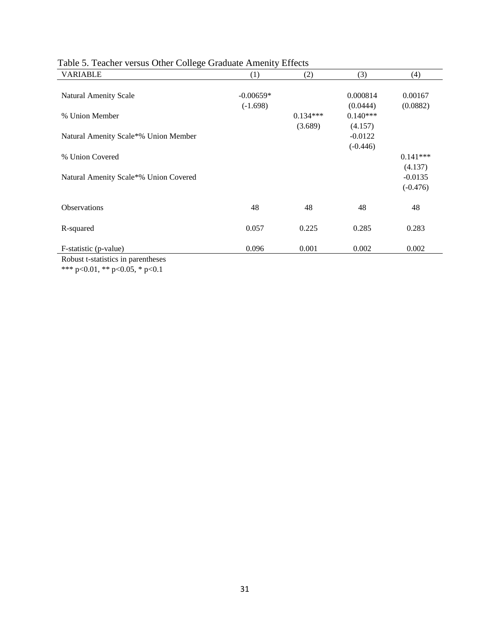| <b>VARIABLE</b>                       | (1)         | (2)        | (3)        | (4)        |
|---------------------------------------|-------------|------------|------------|------------|
|                                       |             |            |            |            |
| <b>Natural Amenity Scale</b>          | $-0.00659*$ |            | 0.000814   | 0.00167    |
|                                       | $(-1.698)$  |            | (0.0444)   | (0.0882)   |
| % Union Member                        |             | $0.134***$ | $0.140***$ |            |
|                                       |             | (3.689)    | (4.157)    |            |
| Natural Amenity Scale*% Union Member  |             |            | $-0.0122$  |            |
|                                       |             |            | $(-0.446)$ |            |
| % Union Covered                       |             |            |            | $0.141***$ |
|                                       |             |            |            | (4.137)    |
| Natural Amenity Scale*% Union Covered |             |            |            | $-0.0135$  |
|                                       |             |            |            | $(-0.476)$ |
|                                       |             |            |            |            |
| Observations                          | 48          | 48         | 48         | 48         |
| R-squared                             | 0.057       | 0.225      | 0.285      | 0.283      |
|                                       |             |            |            |            |
| F-statistic (p-value)                 | 0.096       | 0.001      | 0.002      | 0.002      |

# Table 5. Teacher versus Other College Graduate Amenity Effects

Robust t-statistics in parentheses \*\*\* p<0.01, \*\* p<0.05, \* p<0.1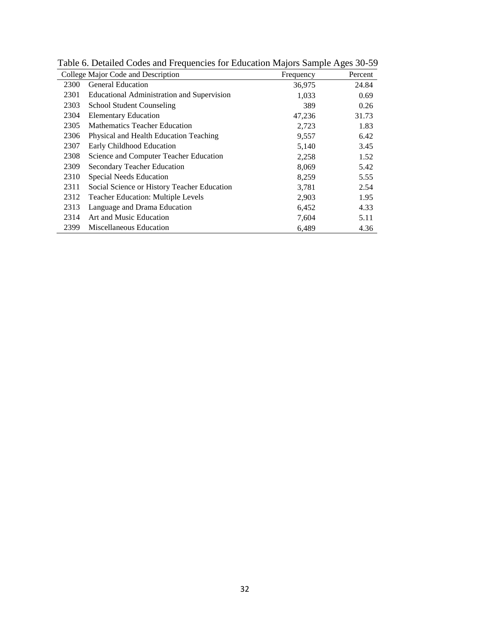|      | College Major Code and Description          | Frequency | Percent |
|------|---------------------------------------------|-----------|---------|
| 2300 | <b>General Education</b>                    | 36,975    | 24.84   |
| 2301 | Educational Administration and Supervision  | 1,033     | 0.69    |
| 2303 | <b>School Student Counseling</b>            | 389       | 0.26    |
| 2304 | <b>Elementary Education</b>                 | 47,236    | 31.73   |
| 2305 | Mathematics Teacher Education               | 2,723     | 1.83    |
| 2306 | Physical and Health Education Teaching      | 9,557     | 6.42    |
| 2307 | Early Childhood Education                   | 5,140     | 3.45    |
| 2308 | Science and Computer Teacher Education      | 2,258     | 1.52    |
| 2309 | Secondary Teacher Education                 | 8,069     | 5.42    |
| 2310 | Special Needs Education                     | 8,259     | 5.55    |
| 2311 | Social Science or History Teacher Education | 3,781     | 2.54    |
| 2312 | <b>Teacher Education: Multiple Levels</b>   | 2,903     | 1.95    |
| 2313 | Language and Drama Education                | 6,452     | 4.33    |
| 2314 | Art and Music Education                     | 7,604     | 5.11    |
| 2399 | Miscellaneous Education                     | 6,489     | 4.36    |

Table 6. Detailed Codes and Frequencies for Education Majors Sample Ages 30-59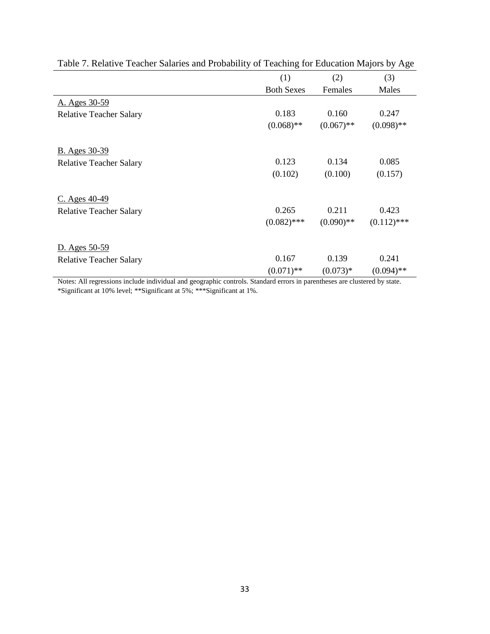|                                | (1)               | (2)          | (3)           |
|--------------------------------|-------------------|--------------|---------------|
|                                | <b>Both Sexes</b> | Females      | Males         |
| A. Ages 30-59                  |                   |              |               |
| <b>Relative Teacher Salary</b> | 0.183             | 0.160        | 0.247         |
|                                | $(0.068)$ **      | $(0.067)$ ** | $(0.098)$ **  |
| <b>B.</b> Ages 30-39           |                   |              |               |
| <b>Relative Teacher Salary</b> | 0.123             | 0.134        | 0.085         |
|                                | (0.102)           | (0.100)      | (0.157)       |
| $C.$ Ages $40-49$              |                   |              |               |
| <b>Relative Teacher Salary</b> | 0.265             | 0.211        | 0.423         |
|                                | $(0.082)$ ***     | $(0.090)$ ** | $(0.112)$ *** |
| D. Ages 50-59                  |                   |              |               |
| <b>Relative Teacher Salary</b> | 0.167             | 0.139        | 0.241         |
|                                | $(0.071)$ **      | $(0.073)*$   | $(0.094)$ **  |

Table 7. Relative Teacher Salaries and Probability of Teaching for Education Majors by Age

Notes: All regressions include individual and geographic controls. Standard errors in parentheses are clustered by state. \*Significant at 10% level; \*\*Significant at 5%; \*\*\*Significant at 1%.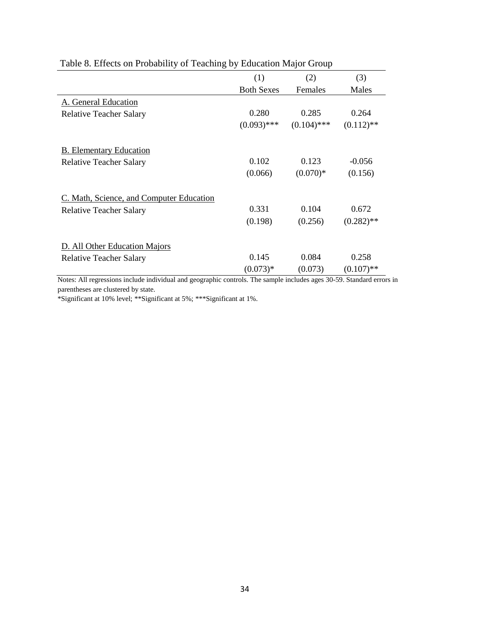|                                          | (1)               | (2)           | (3)          |
|------------------------------------------|-------------------|---------------|--------------|
|                                          | <b>Both Sexes</b> | Females       | Males        |
| A. General Education                     |                   |               |              |
| <b>Relative Teacher Salary</b>           | 0.280             | 0.285         | 0.264        |
|                                          | $(0.093)$ ***     | $(0.104)$ *** | $(0.112)$ ** |
| <b>B.</b> Elementary Education           |                   |               |              |
| <b>Relative Teacher Salary</b>           | 0.102             | 0.123         | $-0.056$     |
|                                          | (0.066)           | $(0.070)*$    | (0.156)      |
| C. Math, Science, and Computer Education |                   |               |              |
| <b>Relative Teacher Salary</b>           | 0.331             | 0.104         | 0.672        |
|                                          | (0.198)           | (0.256)       | $(0.282)$ ** |
| D. All Other Education Majors            |                   |               |              |
| <b>Relative Teacher Salary</b>           | 0.145             | 0.084         | 0.258        |
|                                          | $(0.073)*$        | (0.073)       | $(0.107)$ ** |

# Table 8. Effects on Probability of Teaching by Education Major Group

Notes: All regressions include individual and geographic controls. The sample includes ages 30-59. Standard errors in parentheses are clustered by state.

\*Significant at 10% level; \*\*Significant at 5%; \*\*\*Significant at 1%.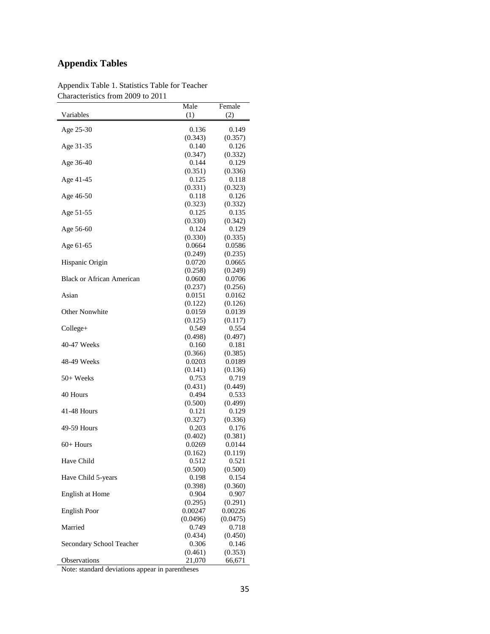# **Appendix Tables**

|                                  | Male              | Female            |
|----------------------------------|-------------------|-------------------|
| Variables                        | (1)               | (2)               |
| Age 25-30                        | 0.136             | 0.149             |
|                                  | (0.343)           | (0.357)           |
| Age 31-35                        | 0.140             | 0.126             |
|                                  | (0.347)           | (0.332)           |
| Age 36-40                        | 0.144             | 0.129             |
|                                  | (0.351)           | (0.336)           |
| Age 41-45                        | 0.125             | 0.118             |
|                                  | (0.331)           | (0.323)           |
| Age 46-50                        | 0.118             | 0.126             |
|                                  | (0.323)           | (0.332)           |
| Age 51-55                        | 0.125             | 0.135             |
|                                  | (0.330)           | (0.342)           |
| Age 56-60                        | 0.124             | 0.129             |
|                                  | (0.330)           | (0.335)           |
| Age 61-65                        | 0.0664            | 0.0586            |
| Hispanic Origin                  | (0.249)<br>0.0720 | (0.235)<br>0.0665 |
|                                  | (0.258)           | (0.249)           |
| <b>Black or African American</b> | 0.0600            | 0.0706            |
|                                  | (0.237)           | (0.256)           |
| Asian                            | 0.0151            | 0.0162            |
|                                  | (0.122)           | (0.126)           |
| <b>Other Nonwhite</b>            | 0.0159            | 0.0139            |
|                                  | (0.125)           | (0.117)           |
| College+                         | 0.549             | 0.554             |
|                                  | (0.498)           | (0.497)           |
| 40-47 Weeks                      | 0.160             | 0.181             |
|                                  | (0.366)           | (0.385)           |
| 48-49 Weeks                      | 0.0203            | 0.0189            |
|                                  | (0.141)           | (0.136)           |
| 50+ Weeks                        | 0.753             | 0.719             |
|                                  | (0.431)           | (0.449)           |
| 40 Hours                         | 0.494             | 0.533             |
| 41-48 Hours                      | (0.500)<br>0.121  | (0.499)<br>0.129  |
|                                  | (0.327)           | (0.336)           |
| 49-59 Hours                      | 0.203             | 0.176             |
|                                  | (0.402)           | (0.381)           |
| $60+$ Hours                      | 0.0269            | 0.0144            |
|                                  | (0.162)           | (0.119)           |
| Have Child                       | 0.512             | 0.521             |
|                                  | (0.500)           | (0.500)           |
| Have Child 5-years               | 0.198             | 0.154             |
|                                  | (0.398)           | (0.360)           |
| English at Home                  | 0.904             | 0.907             |
|                                  | (0.295)           | (0.291)           |
| <b>English Poor</b>              | 0.00247           | 0.00226           |
|                                  | (0.0496)          | (0.0475)          |
| Married                          | 0.749             | 0.718             |
|                                  | (0.434)           | (0.450)           |
| Secondary School Teacher         | 0.306             | 0.146             |
| Observations                     | (0.461)<br>21,070 | (0.353)           |
|                                  |                   | 66,671            |

Appendix Table 1. Statistics Table for Teacher Characteristics from 2009 to 2011

Note: standard deviations appear in parentheses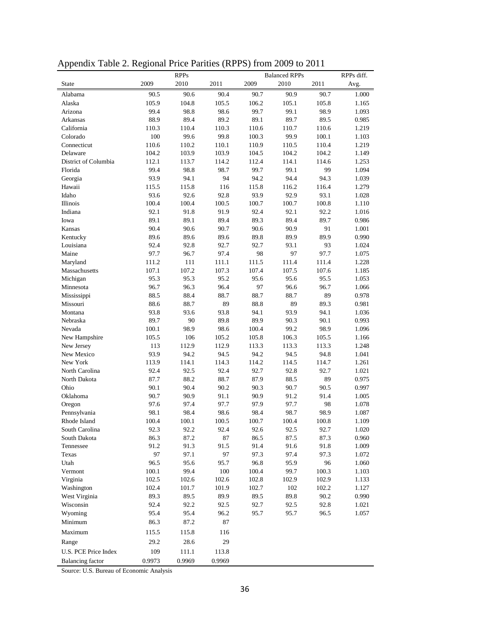| Appendix Table 2. Regional Price Parities (RPPS) from 2009 to 2011 |  |  |  |
|--------------------------------------------------------------------|--|--|--|
|                                                                    |  |  |  |

|                         |        | <b>RPPs</b> |        |       | <b>Balanced RPPs</b> |           | RPPs diff. |
|-------------------------|--------|-------------|--------|-------|----------------------|-----------|------------|
| <b>State</b>            | 2009   | 2010        | 2011   | 2009  | 2010                 | 2011      | Avg.       |
| Alabama                 | 90.5   | 90.6        | 90.4   | 90.7  | 90.9                 | 90.7      | 1.000      |
| Alaska                  | 105.9  | 104.8       | 105.5  | 106.2 | 105.1                | 105.8     | 1.165      |
| Arizona                 | 99.4   | 98.8        | 98.6   | 99.7  | 99.1                 | 98.9      | 1.093      |
| Arkansas                | 88.9   | 89.4        | 89.2   | 89.1  | 89.7                 | 89.5      | 0.985      |
| California              | 110.3  | 110.4       | 110.3  | 110.6 | 110.7                | 110.6     | 1.219      |
| Colorado                | 100    | 99.6        | 99.8   | 100.3 | 99.9                 | $100.1\,$ | 1.103      |
| Connecticut             | 110.6  | 110.2       | 110.1  | 110.9 | 110.5                | 110.4     | 1.219      |
| Delaware                | 104.2  | 103.9       | 103.9  | 104.5 | 104.2                | 104.2     | 1.149      |
| District of Columbia    | 112.1  | 113.7       | 114.2  | 112.4 | 114.1                | 114.6     | 1.253      |
| Florida                 | 99.4   | 98.8        | 98.7   | 99.7  | 99.1                 | 99        | 1.094      |
| Georgia                 | 93.9   | 94.1        | 94     | 94.2  | 94.4                 | 94.3      | 1.039      |
| Hawaii                  | 115.5  | 115.8       | 116    | 115.8 | 116.2                | 116.4     | 1.279      |
| Idaho                   | 93.6   | 92.6        | 92.8   | 93.9  | 92.9                 | 93.1      | 1.028      |
| Illinois                | 100.4  | 100.4       | 100.5  | 100.7 | 100.7                | 100.8     | 1.110      |
| Indiana                 | 92.1   | 91.8        | 91.9   | 92.4  | 92.1                 | 92.2      | 1.016      |
| Iowa                    | 89.1   | 89.1        | 89.4   | 89.3  | 89.4                 | 89.7      | 0.986      |
| Kansas                  | 90.4   | 90.6        | 90.7   | 90.6  | 90.9                 | 91        | 1.001      |
| Kentucky                | 89.6   | 89.6        | 89.6   | 89.8  | 89.9                 | 89.9      | 0.990      |
| Louisiana               | 92.4   | 92.8        | 92.7   | 92.7  | 93.1                 | 93        | 1.024      |
| Maine                   | 97.7   | 96.7        | 97.4   | 98    | 97                   | 97.7      | 1.075      |
| Maryland                | 111.2  | 111         | 111.1  | 111.5 | 111.4                | 111.4     | 1.228      |
| Massachusetts           | 107.1  | 107.2       | 107.3  | 107.4 | 107.5                | 107.6     | 1.185      |
| Michigan                | 95.3   | 95.3        | 95.2   | 95.6  | 95.6                 | 95.5      | 1.053      |
| Minnesota               | 96.7   | 96.3        | 96.4   | 97    | 96.6                 | 96.7      | 1.066      |
| Mississippi             | 88.5   | 88.4        | 88.7   | 88.7  | 88.7                 | 89        | 0.978      |
| Missouri                | 88.6   | 88.7        | 89     | 88.8  | 89                   | 89.3      | 0.981      |
| Montana                 | 93.8   | 93.6        | 93.8   | 94.1  | 93.9                 | 94.1      | 1.036      |
| Nebraska                | 89.7   | 90          | 89.8   | 89.9  | 90.3                 | 90.1      | 0.993      |
| Nevada                  | 100.1  | 98.9        | 98.6   | 100.4 | 99.2                 | 98.9      | 1.096      |
| New Hampshire           | 105.5  | 106         | 105.2  | 105.8 | 106.3                | 105.5     | 1.166      |
| New Jersey              | 113    | 112.9       | 112.9  | 113.3 | 113.3                | 113.3     | 1.248      |
| New Mexico              | 93.9   | 94.2        | 94.5   | 94.2  | 94.5                 | 94.8      | 1.041      |
| New York                | 113.9  | 114.1       | 114.3  | 114.2 | 114.5                | 114.7     | 1.261      |
| North Carolina          | 92.4   | 92.5        | 92.4   | 92.7  | 92.8                 | 92.7      | 1.021      |
| North Dakota            | 87.7   | 88.2        | 88.7   | 87.9  | 88.5                 | 89        | 0.975      |
| Ohio                    | 90.1   | 90.4        | 90.2   | 90.3  | 90.7                 | 90.5      | 0.997      |
| Oklahoma                | 90.7   | 90.9        | 91.1   | 90.9  | 91.2                 | 91.4      | 1.005      |
| Oregon                  | 97.6   | 97.4        | 97.7   | 97.9  | 97.7                 | 98        | 1.078      |
| Pennsylvania            | 98.1   | 98.4        | 98.6   | 98.4  | 98.7                 | 98.9      | 1.087      |
| Rhode Island            | 100.4  | 100.1       | 100.5  | 100.7 | 100.4                | 100.8     | 1.109      |
| South Carolina          | 92.3   | 92.2        | 92.4   | 92.6  | 92.5                 | 92.7      | 1.020      |
| South Dakota            | 86.3   | 87.2        | 87     | 86.5  | 87.5                 | 87.3      | 0.960      |
| Tennessee               | 91.2   | 91.3        | 91.5   | 91.4  | 91.6                 | 91.8      | 1.009      |
| Texas                   | 97     | 97.1        | 97     | 97.3  | 97.4                 | 97.3      | 1.072      |
| Utah                    | 96.5   | 95.6        | 95.7   | 96.8  | 95.9                 | 96        | 1.060      |
| Vermont                 | 100.1  | 99.4        | 100    | 100.4 | 99.7                 | 100.3     | 1.103      |
| Virginia                | 102.5  | 102.6       | 102.6  | 102.8 | 102.9                | 102.9     | 1.133      |
| Washington              | 102.4  | 101.7       | 101.9  | 102.7 | 102                  | 102.2     | 1.127      |
| West Virginia           | 89.3   | 89.5        | 89.9   | 89.5  | 89.8                 | 90.2      | 0.990      |
| Wisconsin               | 92.4   | 92.2        | 92.5   | 92.7  | 92.5                 | 92.8      | 1.021      |
| Wyoming                 | 95.4   | 95.4        | 96.2   | 95.7  | 95.7                 | 96.5      | 1.057      |
| Minimum                 | 86.3   | 87.2        | 87     |       |                      |           |            |
| Maximum                 | 115.5  | 115.8       | 116    |       |                      |           |            |
|                         |        |             | 29     |       |                      |           |            |
| Range                   | 29.2   | 28.6        |        |       |                      |           |            |
| U.S. PCE Price Index    | 109    | 111.1       | 113.8  |       |                      |           |            |
| <b>Balancing</b> factor | 0.9973 | 0.9969      | 0.9969 |       |                      |           |            |

Source: U.S. Bureau of Economic Analysis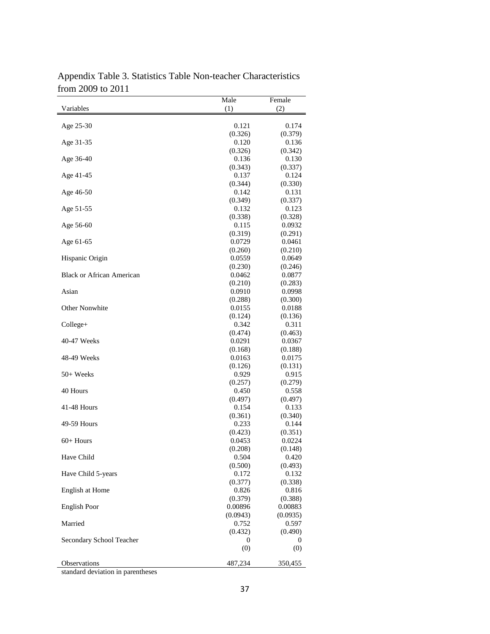| $110111 \neq 00700 \neq 011$     | Male             | Female           |
|----------------------------------|------------------|------------------|
| Variables                        | (1)              | (2)              |
|                                  |                  |                  |
| Age 25-30                        | 0.121            | 0.174            |
| Age 31-35                        | (0.326)<br>0.120 | (0.379)<br>0.136 |
|                                  | (0.326)          | (0.342)          |
| Age 36-40                        | 0.136            | 0.130            |
|                                  | (0.343)          | (0.337)          |
| Age 41-45                        | 0.137            | 0.124            |
|                                  | (0.344)          | (0.330)          |
| Age 46-50                        | 0.142            | 0.131            |
|                                  | (0.349)          | (0.337)          |
| Age 51-55                        | 0.132            | 0.123            |
|                                  | (0.338)          | (0.328)          |
| Age 56-60                        | 0.115            | 0.0932           |
|                                  | (0.319)          | (0.291)          |
| Age 61-65                        | 0.0729           | 0.0461           |
|                                  | (0.260)          | (0.210)          |
| Hispanic Origin                  | 0.0559           | 0.0649           |
|                                  | (0.230)          | (0.246)          |
| <b>Black or African American</b> | 0.0462           | 0.0877           |
|                                  | (0.210)          | (0.283)          |
| Asian                            | 0.0910           | 0.0998           |
|                                  | (0.288)          | (0.300)          |
| Other Nonwhite                   | 0.0155           | 0.0188           |
|                                  | (0.124)          | (0.136)          |
| Collect the get                  | 0.342            | 0.311            |
|                                  | (0.474)          | (0.463)          |
| 40-47 Weeks                      | 0.0291           | 0.0367           |
|                                  | (0.168)          | (0.188)          |
| 48-49 Weeks                      | 0.0163           | 0.0175           |
|                                  | (0.126)          | (0.131)          |
| $50+$ Weeks                      | 0.929            | 0.915            |
|                                  | (0.257)          | (0.279)          |
| 40 Hours                         | 0.450            | 0.558            |
|                                  | (0.497)          | (0.497)          |
| 41-48 Hours                      | 0.154            | 0.133            |
|                                  | (0.361)          | (0.340)          |
| 49-59 Hours                      | 0.233            | 0.144            |
|                                  | (0.423)          | (0.351)          |
| $60+$ Hours                      | 0.0453           | 0.0224           |
|                                  | (0.208)          | (0.148)          |
| Have Child                       | 0.504            | 0.420            |
|                                  | (0.500)          | (0.493)          |
| Have Child 5-years               | 0.172            | 0.132            |
|                                  | (0.377)          | (0.338)          |
| English at Home                  | 0.826            | 0.816            |
|                                  | (0.379)          | (0.388)          |
| <b>English Poor</b>              | 0.00896          | 0.00883          |
|                                  | (0.0943)         | (0.0935)         |
| Married                          | 0.752            | 0.597            |
| Secondary School Teacher         | (0.432)<br>0     | (0.490)<br>0     |
|                                  |                  |                  |
|                                  | (0)              | (0)              |
| Observations                     | 487,234          | 350,455          |

Appendix Table 3. Statistics Table Non-teacher Characteristics from 2009 to 2011

standard deviation in parentheses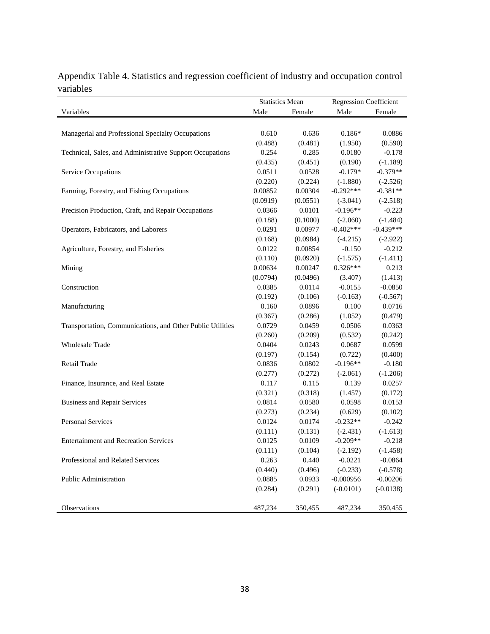|                                                            | <b>Statistics Mean</b> |          | <b>Regression Coefficient</b> |             |
|------------------------------------------------------------|------------------------|----------|-------------------------------|-------------|
| Variables                                                  | Male                   | Female   | Male                          | Female      |
|                                                            |                        |          |                               |             |
| Managerial and Professional Specialty Occupations          | 0.610                  | 0.636    | $0.186*$                      | 0.0886      |
|                                                            | (0.488)                | (0.481)  | (1.950)                       | (0.590)     |
| Technical, Sales, and Administrative Support Occupations   | 0.254                  | 0.285    | 0.0180                        | $-0.178$    |
|                                                            | (0.435)                | (0.451)  | (0.190)                       | $(-1.189)$  |
| Service Occupations                                        | 0.0511                 | 0.0528   | $-0.179*$                     | $-0.379**$  |
|                                                            | (0.220)                | (0.224)  | $(-1.880)$                    | $(-2.526)$  |
| Farming, Forestry, and Fishing Occupations                 | 0.00852                | 0.00304  | $-0.292***$                   | $-0.381**$  |
|                                                            | (0.0919)               | (0.0551) | $(-3.041)$                    | $(-2.518)$  |
| Precision Production, Craft, and Repair Occupations        | 0.0366                 | 0.0101   | $-0.196**$                    | $-0.223$    |
|                                                            | (0.188)                | (0.1000) | $(-2.060)$                    | $(-1.484)$  |
| Operators, Fabricators, and Laborers                       | 0.0291                 | 0.00977  | $-0.402***$                   | $-0.439***$ |
|                                                            | (0.168)                | (0.0984) | $(-4.215)$                    | $(-2.922)$  |
| Agriculture, Forestry, and Fisheries                       | 0.0122                 | 0.00854  | $-0.150$                      | $-0.212$    |
|                                                            | (0.110)                | (0.0920) | $(-1.575)$                    | $(-1.411)$  |
| Mining                                                     | 0.00634                | 0.00247  | $0.326***$                    | 0.213       |
|                                                            | (0.0794)               | (0.0496) | (3.407)                       | (1.413)     |
| Construction                                               | 0.0385                 | 0.0114   | $-0.0155$                     | $-0.0850$   |
|                                                            | (0.192)                | (0.106)  | $(-0.163)$                    | $(-0.567)$  |
| Manufacturing                                              | 0.160                  | 0.0896   | 0.100                         | 0.0716      |
|                                                            | (0.367)                | (0.286)  | (1.052)                       | (0.479)     |
| Transportation, Communications, and Other Public Utilities | 0.0729                 | 0.0459   | 0.0506                        | 0.0363      |
|                                                            | (0.260)                | (0.209)  | (0.532)                       | (0.242)     |
| <b>Wholesale Trade</b>                                     | 0.0404                 | 0.0243   | 0.0687                        | 0.0599      |
|                                                            | (0.197)                | (0.154)  | (0.722)                       | (0.400)     |
| Retail Trade                                               | 0.0836                 | 0.0802   | $-0.196**$                    | $-0.180$    |
|                                                            | (0.277)                | (0.272)  | $(-2.061)$                    | $(-1.206)$  |
| Finance, Insurance, and Real Estate                        | 0.117                  | 0.115    | 0.139                         | 0.0257      |
|                                                            | (0.321)                | (0.318)  | (1.457)                       | (0.172)     |
| <b>Business and Repair Services</b>                        | 0.0814                 | 0.0580   | 0.0598                        | 0.0153      |
|                                                            | (0.273)                | (0.234)  | (0.629)                       | (0.102)     |
| <b>Personal Services</b>                                   | 0.0124                 | 0.0174   | $-0.232**$                    | $-0.242$    |
|                                                            | (0.111)                | (0.131)  | $(-2.431)$                    | $(-1.613)$  |
| <b>Entertainment and Recreation Services</b>               | 0.0125                 | 0.0109   | $-0.209**$                    | $-0.218$    |
|                                                            | (0.111)                | (0.104)  | $(-2.192)$                    | $(-1.458)$  |
| Professional and Related Services                          | 0.263                  | 0.440    | $-0.0221$                     | $-0.0864$   |
|                                                            | (0.440)                | (0.496)  | $(-0.233)$                    | $(-0.578)$  |
| Public Administration                                      | 0.0885                 | 0.0933   | $-0.000956$                   | $-0.00206$  |
|                                                            | (0.284)                | (0.291)  | $(-0.0101)$                   | $(-0.0138)$ |
|                                                            |                        |          |                               |             |
| Observations                                               | 487,234                | 350,455  | 487,234                       | 350,455     |

Appendix Table 4. Statistics and regression coefficient of industry and occupation control variables